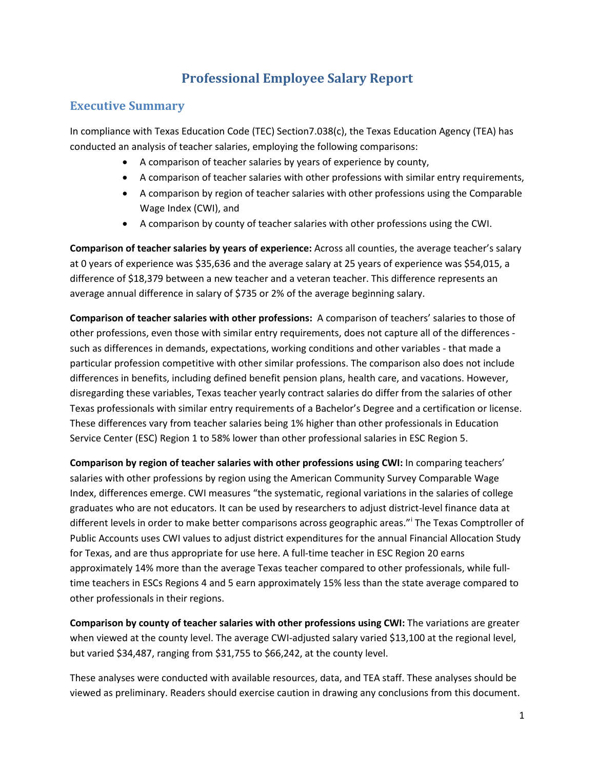# **Professional Employee Salary Report**

# **Executive Summary**

In compliance with Texas Education Code (TEC) Section7.038(c), the Texas Education Agency (TEA) has conducted an analysis of teacher salaries, employing the following comparisons:

- A comparison of teacher salaries by years of experience by county,
- A comparison of teacher salaries with other professions with similar entry requirements,
- A comparison by region of teacher salaries with other professions using the Comparable Wage Index (CWI), and
- A comparison by county of teacher salaries with other professions using the CWI.

**Comparison of teacher salaries by years of experience:** Across all counties, the average teacher's salary at 0 years of experience was \$35,636 and the average salary at 25 years of experience was \$54,015, a difference of \$18,379 between a new teacher and a veteran teacher. This difference represents an average annual difference in salary of \$735 or 2% of the average beginning salary.

**Comparison of teacher salaries with other professions:** A comparison of teachers' salaries to those of other professions, even those with similar entry requirements, does not capture all of the differences such as differences in demands, expectations, working conditions and other variables - that made a particular profession competitive with other similar professions. The comparison also does not include differences in benefits, including defined benefit pension plans, health care, and vacations. However, disregarding these variables, Texas teacher yearly contract salaries do differ from the salaries of other Texas professionals with similar entry requirements of a Bachelor's Degree and a certification or license. These differences vary from teacher salaries being 1% higher than other professionals in Education Service Center (ESC) Region 1 to 58% lower than other professional salaries in ESC Region 5.

**Comparison by region of teacher salaries with other professions using CWI:** In comparing teachers' salaries with other professions by region using the American Community Survey Comparable Wage Index, differences emerge. CWI measures "the systematic, regional variations in the salaries of college graduates who are not educators. It can be used by researchers to adjust district-level finance data at d[i](#page-30-0)fferent levels in order to make better comparisons across geographic areas."<sup>i</sup> The Texas Comptroller of Public Accounts uses CWI values to adjust district expenditures for the annual Financial Allocation Study for Texas, and are thus appropriate for use here. A full-time teacher in ESC Region 20 earns approximately 14% more than the average Texas teacher compared to other professionals, while fulltime teachers in ESCs Regions 4 and 5 earn approximately 15% less than the state average compared to other professionals in their regions.

**Comparison by county of teacher salaries with other professions using CWI:** The variations are greater when viewed at the county level. The average CWI-adjusted salary varied \$13,100 at the regional level, but varied \$34,487, ranging from \$31,755 to \$66,242, at the county level.

These analyses were conducted with available resources, data, and TEA staff. These analyses should be viewed as preliminary. Readers should exercise caution in drawing any conclusions from this document.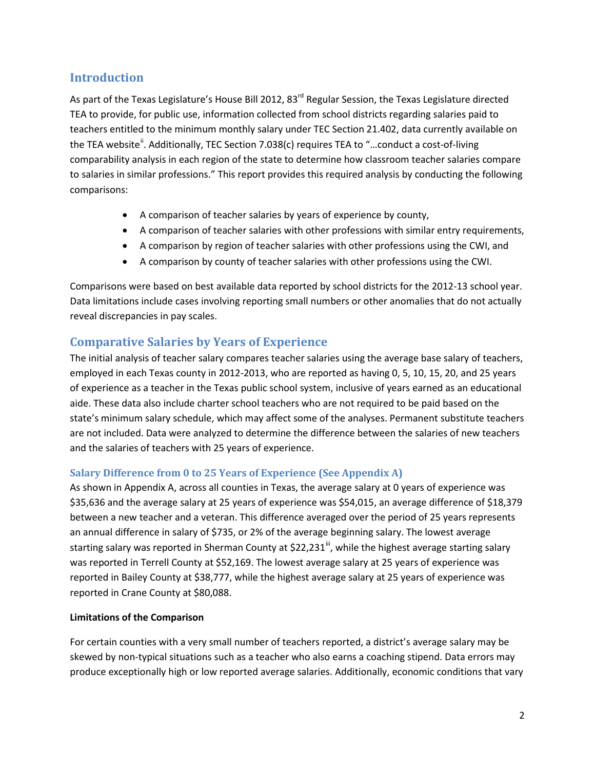## **Introduction**

As part of the Texas Legislature's House Bill 2012, 83<sup>rd</sup> Regular Session, the Texas Legislature directed TEA to provide, for public use, information collected from school districts regarding salaries paid to teachers entitled to the minimum monthly salary under TEC Section 21.402, data currently available on the TEA website<sup>"</sup>. Additionally, TEC Section 7.038(c) requires TEA to "...conduct a cost-of-living comparability analysis in each region of the state to determine how classroom teacher salaries compare to salaries in similar professions." This report provides this required analysis by conducting the following comparisons:

- A comparison of teacher salaries by years of experience by county,
- A comparison of teacher salaries with other professions with similar entry requirements,
- A comparison by region of teacher salaries with other professions using the CWI, and
- A comparison by county of teacher salaries with other professions using the CWI.

Comparisons were based on best available data reported by school districts for the 2012-13 school year. Data limitations include cases involving reporting small numbers or other anomalies that do not actually reveal discrepancies in pay scales.

## **Comparative Salaries by Years of Experience**

The initial analysis of teacher salary compares teacher salaries using the average base salary of teachers, employed in each Texas county in 2012-2013, who are reported as having 0, 5, 10, 15, 20, and 25 years of experience as a teacher in the Texas public school system, inclusive of years earned as an educational aide. These data also include charter school teachers who are not required to be paid based on the state's minimum salary schedule, which may affect some of the analyses. Permanent substitute teachers are not included. Data were analyzed to determine the difference between the salaries of new teachers and the salaries of teachers with 25 years of experience.

#### **Salary Difference from 0 to 25 Years of Experience (See Appendix A)**

As shown in Appendix A, across all counties in Texas, the average salary at 0 years of experience was \$35,636 and the average salary at 25 years of experience was \$54,015, an average difference of \$18,379 between a new teacher and a veteran. This difference averaged over the period of 25 years represents an annual difference in salary of \$735, or 2% of the average beginning salary. The lowest average starting salary was reported in Sherman County at  $$22,231^{\#}$ , while the highest average starting salary was reported in Terrell County at \$52,169. The lowest average salary at 25 years of experience was reported in Bailey County at \$38,777, while the highest average salary at 25 years of experience was reported in Crane County at \$80,088.

#### **Limitations of the Comparison**

For certain counties with a very small number of teachers reported, a district's average salary may be skewed by non-typical situations such as a teacher who also earns a coaching stipend. Data errors may produce exceptionally high or low reported average salaries. Additionally, economic conditions that vary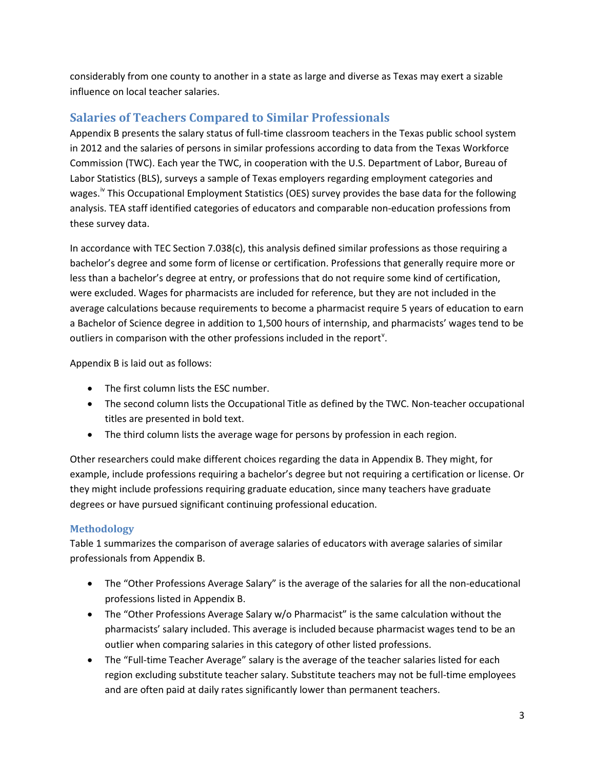considerably from one county to another in a state as large and diverse as Texas may exert a sizable influence on local teacher salaries.

# **Salaries of Teachers Compared to Similar Professionals**

Appendix B presents the salary status of full-time classroom teachers in the Texas public school system in 2012 and the salaries of persons in similar professions according to data from the Texas Workforce Commission (TWC). Each year the TWC, in cooperation with the U.S. Department of Labor, Bureau of Labor Statistics (BLS), surveys a sample of Texas employers regarding employment categories and wages.<sup>Iv</sup> This Occupational Employment Statistics (OES) survey provides the base data for the following analysis. TEA staff identified categories of educators and comparable non-education professions from these survey data.

In accordance with TEC Section 7.038(c), this analysis defined similar professions as those requiring a bachelor's degree and some form of license or certification. Professions that generally require more or less than a bachelor's degree at entry, or professions that do not require some kind of certification, were excluded. Wages for pharmacists are included for reference, but they are not included in the average calculations because requirements to become a pharmacist require 5 years of education to earn a Bachelor of Science degree in addition to 1,500 hours of internship, and pharmacists' wages tend to be outliers in comparison with the other professions included in the report<sup>y</sup>.

Appendix B is laid out as follows:

- The first column lists the ESC number.
- The second column lists the Occupational Title as defined by the TWC. Non-teacher occupational titles are presented in bold text.
- The third column lists the average wage for persons by profession in each region.

Other researchers could make different choices regarding the data in Appendix B. They might, for example, include professions requiring a bachelor's degree but not requiring a certification or license. Or they might include professions requiring graduate education, since many teachers have graduate degrees or have pursued significant continuing professional education.

## **Methodology**

Table 1 summarizes the comparison of average salaries of educators with average salaries of similar professionals from Appendix B.

- The "Other Professions Average Salary" is the average of the salaries for all the non-educational professions listed in Appendix B.
- The "Other Professions Average Salary w/o Pharmacist" is the same calculation without the pharmacists' salary included. This average is included because pharmacist wages tend to be an outlier when comparing salaries in this category of other listed professions.
- The "Full-time Teacher Average" salary is the average of the teacher salaries listed for each region excluding substitute teacher salary. Substitute teachers may not be full-time employees and are often paid at daily rates significantly lower than permanent teachers.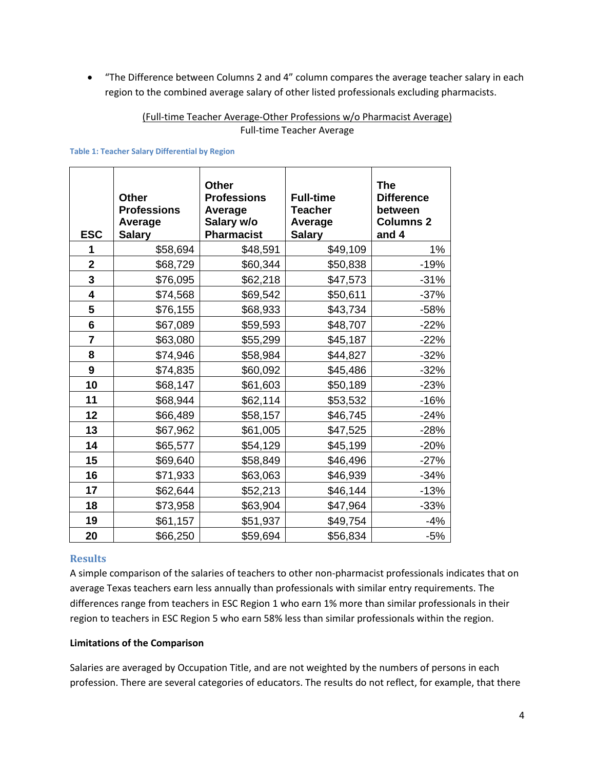• "The Difference between Columns 2 and 4" column compares the average teacher salary in each region to the combined average salary of other listed professionals excluding pharmacists.

#### (Full-time Teacher Average-Other Professions w/o Pharmacist Average) Full-time Teacher Average

#### **Table 1: Teacher Salary Differential by Region**

| <b>ESC</b>   | <b>Other</b><br><b>Professions</b><br>Average<br><b>Salary</b> | <b>Other</b><br><b>Professions</b><br>Average<br>Salary w/o<br>Pharmacist | <b>Full-time</b><br><b>Teacher</b><br>Average<br><b>Salary</b> | <b>The</b><br><b>Difference</b><br>between<br><b>Columns 2</b><br>and 4 |
|--------------|----------------------------------------------------------------|---------------------------------------------------------------------------|----------------------------------------------------------------|-------------------------------------------------------------------------|
| 1            | \$58,694                                                       | \$48,591                                                                  | \$49,109                                                       | 1%                                                                      |
| $\mathbf{2}$ | \$68,729                                                       | \$60,344                                                                  | \$50,838                                                       | $-19%$                                                                  |
| 3            | \$76,095                                                       | \$62,218                                                                  | \$47,573                                                       | $-31%$                                                                  |
| 4            | \$74,568                                                       | \$69,542                                                                  | \$50,611                                                       | $-37%$                                                                  |
| 5            | \$76,155                                                       | \$68,933                                                                  | \$43,734                                                       | $-58%$                                                                  |
| 6            | \$67,089                                                       | \$59,593                                                                  | \$48,707                                                       | $-22%$                                                                  |
| 7            | \$63,080                                                       | \$55,299                                                                  | \$45,187                                                       | $-22%$                                                                  |
| 8            | \$74,946                                                       | \$58,984                                                                  | \$44,827                                                       | $-32%$                                                                  |
| 9            | \$74,835                                                       | \$60,092                                                                  | \$45,486                                                       | $-32%$                                                                  |
| 10           | \$68,147                                                       | \$61,603                                                                  | \$50,189                                                       | $-23%$                                                                  |
| 11           | \$68,944                                                       | \$62,114                                                                  | \$53,532                                                       | $-16%$                                                                  |
| 12           | \$66,489                                                       | \$58,157                                                                  | \$46,745                                                       | $-24%$                                                                  |
| 13           | \$67,962                                                       | \$61,005                                                                  | \$47,525                                                       | $-28%$                                                                  |
| 14           | \$65,577                                                       | \$54,129                                                                  | \$45,199                                                       | $-20%$                                                                  |
| 15           | \$69,640                                                       | \$58,849                                                                  | \$46,496                                                       | $-27%$                                                                  |
| 16           | \$71,933                                                       | \$63,063                                                                  | \$46,939                                                       | $-34%$                                                                  |
| 17           | \$62,644                                                       | \$52,213                                                                  | \$46,144                                                       | $-13%$                                                                  |
| 18           | \$73,958                                                       | \$63,904                                                                  | \$47,964                                                       | $-33%$                                                                  |
| 19           | \$61,157                                                       | \$51,937                                                                  | \$49,754                                                       | $-4%$                                                                   |
| 20           | \$66,250                                                       | \$59,694                                                                  | \$56,834                                                       | $-5%$                                                                   |

#### **Results**

A simple comparison of the salaries of teachers to other non-pharmacist professionals indicates that on average Texas teachers earn less annually than professionals with similar entry requirements. The differences range from teachers in ESC Region 1 who earn 1% more than similar professionals in their region to teachers in ESC Region 5 who earn 58% less than similar professionals within the region.

#### **Limitations of the Comparison**

Salaries are averaged by Occupation Title, and are not weighted by the numbers of persons in each profession. There are several categories of educators. The results do not reflect, for example, that there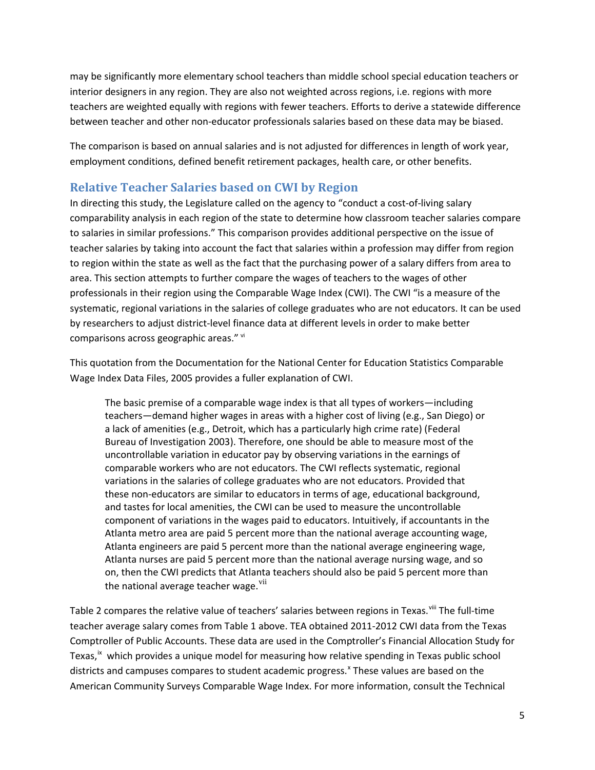may be significantly more elementary school teachers than middle school special education teachers or interior designers in any region. They are also not weighted across regions, i.e. regions with more teachers are weighted equally with regions with fewer teachers. Efforts to derive a statewide difference between teacher and other non-educator professionals salaries based on these data may be biased.

The comparison is based on annual salaries and is not adjusted for differences in length of work year, employment conditions, defined benefit retirement packages, health care, or other benefits.

# **Relative Teacher Salaries based on CWI by Region**

In directing this study, the Legislature called on the agency to "conduct a cost-of-living salary comparability analysis in each region of the state to determine how classroom teacher salaries compare to salaries in similar professions." This comparison provides additional perspective on the issue of teacher salaries by taking into account the fact that salaries within a profession may differ from region to region within the state as well as the fact that the purchasing power of a salary differs from area to area. This section attempts to further compare the wages of teachers to the wages of other professionals in their region using the Comparable Wage Index (CWI). The CWI "is a measure of the systematic, regional variations in the salaries of college graduates who are not educators. It can be used by researchers to adjust district-level finance data at different levels in order to make better comparisons across geographic areas." Vi

This quotation from the Documentation for the National Center for Education Statistics Comparable Wage Index Data Files, 2005 provides a fuller explanation of CWI.

The basic premise of a comparable wage index is that all types of workers—including teachers—demand higher wages in areas with a higher cost of living (e.g., San Diego) or a lack of amenities (e.g., Detroit, which has a particularly high crime rate) (Federal Bureau of Investigation 2003). Therefore, one should be able to measure most of the uncontrollable variation in educator pay by observing variations in the earnings of comparable workers who are not educators. The CWI reflects systematic, regional variations in the salaries of college graduates who are not educators. Provided that these non-educators are similar to educators in terms of age, educational background, and tastes for local amenities, the CWI can be used to measure the uncontrollable component of variations in the wages paid to educators. Intuitively, if accountants in the Atlanta metro area are paid 5 percent more than the national average accounting wage, Atlanta engineers are paid 5 percent more than the national average engineering wage, Atlanta nurses are paid 5 percent more than the national average nursing wage, and so on, then the CWI predicts that Atlanta teachers should also be paid 5 percent more than the national average teacher wage.<sup>[vii](#page-30-6)</sup>

Table 2 compares the relative value of teachers' salaries between regions in Texas.<sup>[viii](#page-30-7)</sup> The full-time teacher average salary comes from Table 1 above. TEA obtained 2011-2012 CWI data from the Texas Comptroller of Public Accounts. These data are used in the Comptroller's Financial Allocation Study for Texas,<sup>[ix](#page-30-8)</sup> which provides a unique model for measuring how relative spending in Texas public school districts and campuses compares to student academic progress.<sup>[x](#page-30-9)</sup> These values are based on the American Community Surveys Comparable Wage Index. For more information, consult the Technical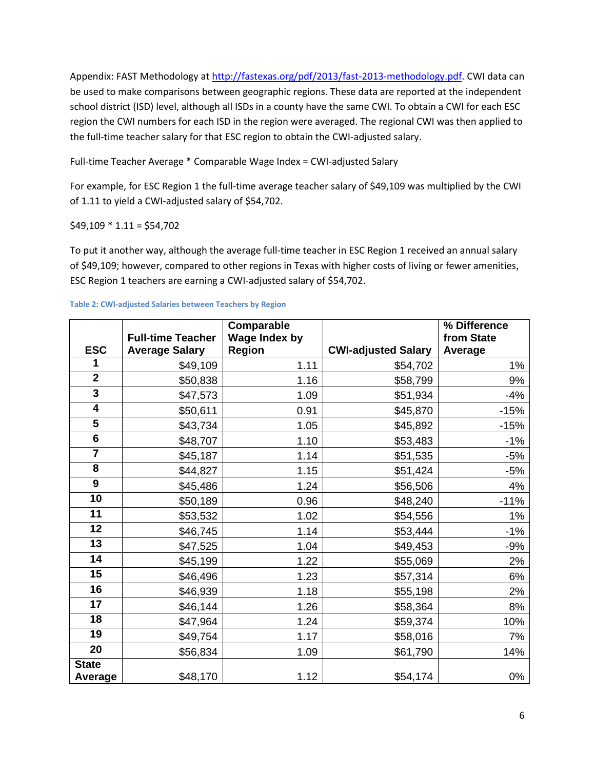Appendix: FAST Methodology at [http://fastexas.org/pdf/2013/fast-2013-methodology.pdf.](http://fastexas.org/pdf/2013/fast-2013-methodology.pdf) CWI data can be used to make comparisons between geographic regions. These data are reported at the independent school district (ISD) level, although all ISDs in a county have the same CWI. To obtain a CWI for each ESC region the CWI numbers for each ISD in the region were averaged. The regional CWI was then applied to the full-time teacher salary for that ESC region to obtain the CWI-adjusted salary.

Full-time Teacher Average \* Comparable Wage Index = CWI-adjusted Salary

For example, for ESC Region 1 the full-time average teacher salary of \$49,109 was multiplied by the CWI of 1.11 to yield a CWI-adjusted salary of \$54,702.

### $$49,109 * 1.11 = $54,702$

To put it another way, although the average full-time teacher in ESC Region 1 received an annual salary of \$49,109; however, compared to other regions in Texas with higher costs of living or fewer amenities, ESC Region 1 teachers are earning a CWI-adjusted salary of \$54,702.

| <b>ESC</b>              | <b>Full-time Teacher</b><br><b>Average Salary</b> | Comparable<br><b>Wage Index by</b><br><b>Region</b> | <b>CWI-adjusted Salary</b> | % Difference<br>from State<br>Average |
|-------------------------|---------------------------------------------------|-----------------------------------------------------|----------------------------|---------------------------------------|
| 1                       | \$49,109                                          | 1.11                                                | \$54,702                   | $1\%$                                 |
| $\overline{2}$          | \$50,838                                          | 1.16                                                | \$58,799                   | 9%                                    |
| $\overline{\mathbf{3}}$ | \$47,573                                          | 1.09                                                | \$51,934                   | $-4%$                                 |
| 4                       | \$50,611                                          | 0.91                                                | \$45,870                   | $-15%$                                |
| $\overline{\mathbf{5}}$ | \$43,734                                          | 1.05                                                | \$45,892                   | $-15%$                                |
| $6\phantom{1}$          | \$48,707                                          | 1.10                                                | \$53,483                   | $-1%$                                 |
| $\overline{\mathbf{7}}$ | \$45,187                                          | 1.14                                                | \$51,535                   | $-5%$                                 |
| 8                       | \$44,827                                          | 1.15                                                | \$51,424                   | $-5%$                                 |
| 9                       | \$45,486                                          | 1.24                                                | \$56,506                   | 4%                                    |
| $\overline{10}$         | \$50,189                                          | 0.96                                                | \$48,240                   | $-11%$                                |
| 11                      | \$53,532                                          | 1.02                                                | \$54,556                   | $1\%$                                 |
| 12                      | \$46,745                                          | 1.14                                                | \$53,444                   | $-1%$                                 |
| 13                      | \$47,525                                          | 1.04                                                | \$49,453                   | $-9%$                                 |
| 14                      | \$45,199                                          | 1.22                                                | \$55,069                   | 2%                                    |
| 15                      | \$46,496                                          | 1.23                                                | \$57,314                   | 6%                                    |
| 16                      | \$46,939                                          | 1.18                                                | \$55,198                   | 2%                                    |
| 17                      | \$46,144                                          | 1.26                                                | \$58,364                   | 8%                                    |
| 18                      | \$47,964                                          | 1.24                                                | \$59,374                   | 10%                                   |
| 19                      | \$49,754                                          | 1.17                                                | \$58,016                   | 7%                                    |
| 20                      | \$56,834                                          | 1.09                                                | \$61,790                   | 14%                                   |
| <b>State</b>            |                                                   |                                                     |                            |                                       |
| Average                 | \$48,170                                          | 1.12                                                | \$54,174                   | 0%                                    |

#### **Table 2: CWI-adjusted Salaries between Teachers by Region**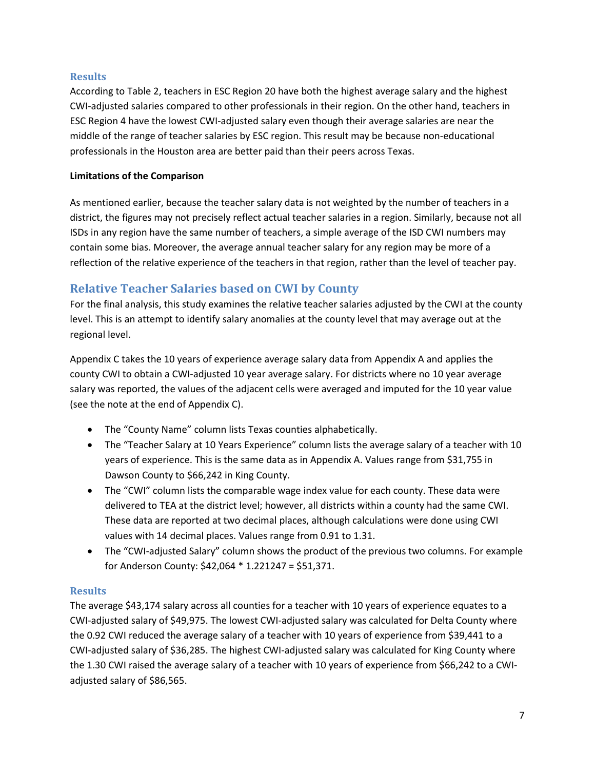### **Results**

According to Table 2, teachers in ESC Region 20 have both the highest average salary and the highest CWI-adjusted salaries compared to other professionals in their region. On the other hand, teachers in ESC Region 4 have the lowest CWI-adjusted salary even though their average salaries are near the middle of the range of teacher salaries by ESC region. This result may be because non-educational professionals in the Houston area are better paid than their peers across Texas.

### **Limitations of the Comparison**

As mentioned earlier, because the teacher salary data is not weighted by the number of teachers in a district, the figures may not precisely reflect actual teacher salaries in a region. Similarly, because not all ISDs in any region have the same number of teachers, a simple average of the ISD CWI numbers may contain some bias. Moreover, the average annual teacher salary for any region may be more of a reflection of the relative experience of the teachers in that region, rather than the level of teacher pay.

# **Relative Teacher Salaries based on CWI by County**

For the final analysis, this study examines the relative teacher salaries adjusted by the CWI at the county level. This is an attempt to identify salary anomalies at the county level that may average out at the regional level.

Appendix C takes the 10 years of experience average salary data from Appendix A and applies the county CWI to obtain a CWI-adjusted 10 year average salary. For districts where no 10 year average salary was reported, the values of the adjacent cells were averaged and imputed for the 10 year value (see the note at the end of Appendix C).

- The "County Name" column lists Texas counties alphabetically.
- The "Teacher Salary at 10 Years Experience" column lists the average salary of a teacher with 10 years of experience. This is the same data as in Appendix A. Values range from \$31,755 in Dawson County to \$66,242 in King County.
- The "CWI" column lists the comparable wage index value for each county. These data were delivered to TEA at the district level; however, all districts within a county had the same CWI. These data are reported at two decimal places, although calculations were done using CWI values with 14 decimal places. Values range from 0.91 to 1.31.
- The "CWI-adjusted Salary" column shows the product of the previous two columns. For example for Anderson County: \$42,064 \* 1.221247 = \$51,371.

### **Results**

The average \$43,174 salary across all counties for a teacher with 10 years of experience equates to a CWI-adjusted salary of \$49,975. The lowest CWI-adjusted salary was calculated for Delta County where the 0.92 CWI reduced the average salary of a teacher with 10 years of experience from \$39,441 to a CWI-adjusted salary of \$36,285. The highest CWI-adjusted salary was calculated for King County where the 1.30 CWI raised the average salary of a teacher with 10 years of experience from \$66,242 to a CWIadjusted salary of \$86,565.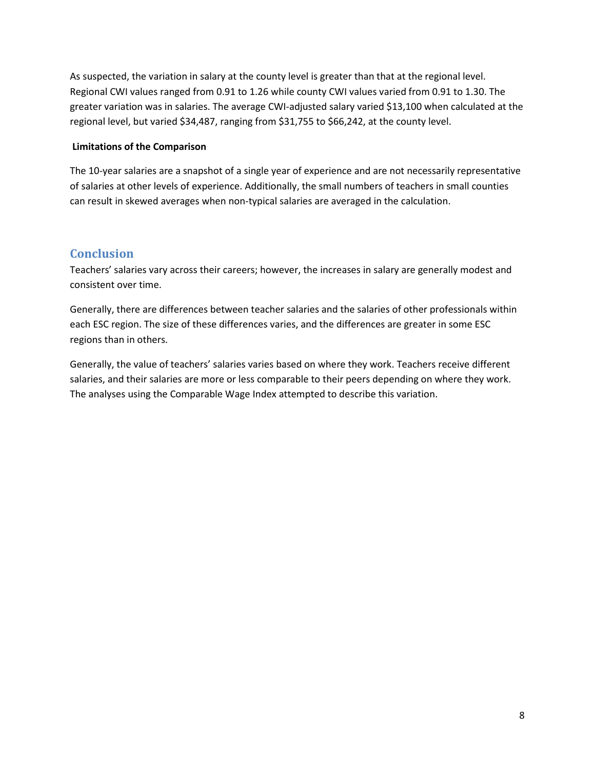As suspected, the variation in salary at the county level is greater than that at the regional level. Regional CWI values ranged from 0.91 to 1.26 while county CWI values varied from 0.91 to 1.30. The greater variation was in salaries. The average CWI-adjusted salary varied \$13,100 when calculated at the regional level, but varied \$34,487, ranging from \$31,755 to \$66,242, at the county level.

### **Limitations of the Comparison**

The 10-year salaries are a snapshot of a single year of experience and are not necessarily representative of salaries at other levels of experience. Additionally, the small numbers of teachers in small counties can result in skewed averages when non-typical salaries are averaged in the calculation.

## **Conclusion**

Teachers' salaries vary across their careers; however, the increases in salary are generally modest and consistent over time.

Generally, there are differences between teacher salaries and the salaries of other professionals within each ESC region. The size of these differences varies, and the differences are greater in some ESC regions than in others.

Generally, the value of teachers' salaries varies based on where they work. Teachers receive different salaries, and their salaries are more or less comparable to their peers depending on where they work. The analyses using the Comparable Wage Index attempted to describe this variation.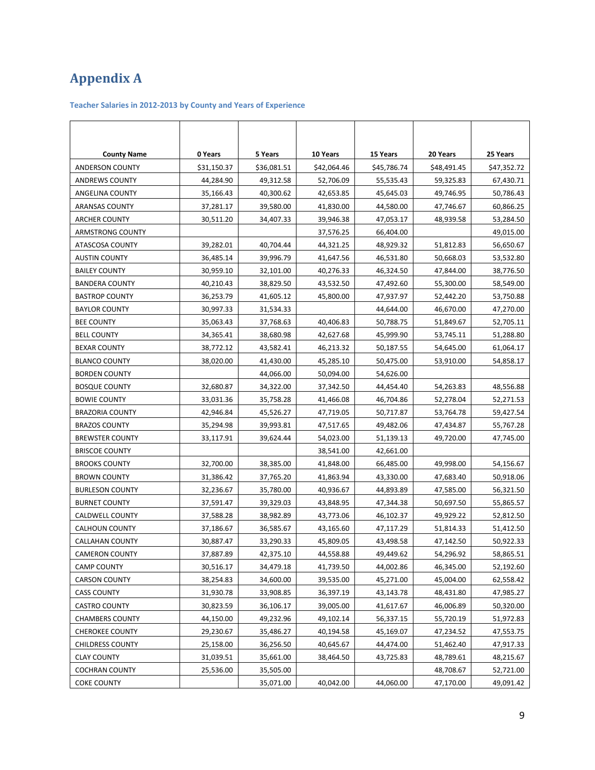# **Appendix A**

#### **Teacher Salaries in 2012-2013 by County and Years of Experience**

| <b>County Name</b>      | 0 Years     | 5 Years     | 10 Years    | 15 Years    | 20 Years    | 25 Years    |
|-------------------------|-------------|-------------|-------------|-------------|-------------|-------------|
| ANDERSON COUNTY         | \$31,150.37 | \$36,081.51 | \$42,064.46 | \$45,786.74 | \$48,491.45 | \$47,352.72 |
| <b>ANDREWS COUNTY</b>   | 44,284.90   | 49,312.58   | 52,706.09   | 55,535.43   | 59,325.83   | 67,430.71   |
| ANGELINA COUNTY         | 35,166.43   | 40,300.62   | 42,653.85   | 45,645.03   | 49,746.95   | 50,786.43   |
| <b>ARANSAS COUNTY</b>   | 37,281.17   | 39,580.00   | 41,830.00   | 44,580.00   | 47,746.67   | 60,866.25   |
| ARCHER COUNTY           | 30,511.20   | 34,407.33   | 39,946.38   | 47,053.17   | 48,939.58   | 53,284.50   |
| <b>ARMSTRONG COUNTY</b> |             |             | 37,576.25   | 66,404.00   |             | 49,015.00   |
| ATASCOSA COUNTY         | 39,282.01   | 40,704.44   | 44,321.25   | 48,929.32   | 51,812.83   | 56,650.67   |
| <b>AUSTIN COUNTY</b>    | 36,485.14   | 39,996.79   | 41,647.56   | 46,531.80   | 50,668.03   | 53,532.80   |
| <b>BAILEY COUNTY</b>    | 30,959.10   | 32,101.00   | 40,276.33   | 46,324.50   | 47,844.00   | 38,776.50   |
| <b>BANDERA COUNTY</b>   | 40,210.43   | 38,829.50   | 43,532.50   | 47,492.60   | 55,300.00   | 58,549.00   |
| <b>BASTROP COUNTY</b>   | 36,253.79   | 41,605.12   | 45,800.00   | 47,937.97   | 52,442.20   | 53,750.88   |
| <b>BAYLOR COUNTY</b>    | 30,997.33   | 31,534.33   |             | 44,644.00   | 46,670.00   | 47,270.00   |
| BEE COUNTY              | 35,063.43   | 37,768.63   | 40,406.83   | 50,788.75   | 51,849.67   | 52,705.11   |
| <b>BELL COUNTY</b>      | 34,365.41   | 38,680.98   | 42,627.68   | 45,999.90   | 53,745.11   | 51,288.80   |
| <b>BEXAR COUNTY</b>     | 38,772.12   | 43,582.41   | 46,213.32   | 50,187.55   | 54,645.00   | 61,064.17   |
| <b>BLANCO COUNTY</b>    | 38,020.00   | 41,430.00   | 45,285.10   | 50,475.00   | 53,910.00   | 54,858.17   |
| <b>BORDEN COUNTY</b>    |             | 44,066.00   | 50,094.00   | 54,626.00   |             |             |
| <b>BOSQUE COUNTY</b>    | 32,680.87   | 34,322.00   | 37,342.50   | 44,454.40   | 54,263.83   | 48,556.88   |
| <b>BOWIE COUNTY</b>     | 33,031.36   | 35,758.28   | 41,466.08   | 46,704.86   | 52,278.04   | 52,271.53   |
| <b>BRAZORIA COUNTY</b>  | 42,946.84   | 45,526.27   | 47,719.05   | 50,717.87   | 53,764.78   | 59,427.54   |
| <b>BRAZOS COUNTY</b>    | 35,294.98   | 39,993.81   | 47,517.65   | 49,482.06   | 47,434.87   | 55,767.28   |
| <b>BREWSTER COUNTY</b>  | 33,117.91   | 39,624.44   | 54,023.00   | 51,139.13   | 49,720.00   | 47,745.00   |
| <b>BRISCOE COUNTY</b>   |             |             | 38,541.00   | 42,661.00   |             |             |
| <b>BROOKS COUNTY</b>    | 32,700.00   | 38,385.00   | 41,848.00   | 66,485.00   | 49,998.00   | 54,156.67   |
| BROWN COUNTY            | 31,386.42   | 37,765.20   | 41,863.94   | 43,330.00   | 47,683.40   | 50,918.06   |
| <b>BURLESON COUNTY</b>  | 32,236.67   | 35,780.00   | 40,936.67   | 44,893.89   | 47,585.00   | 56,321.50   |
| <b>BURNET COUNTY</b>    | 37,591.47   | 39,329.03   | 43,848.95   | 47,344.38   | 50,697.50   | 55,865.57   |
| CALDWELL COUNTY         | 37,588.28   | 38,982.89   | 43,773.06   | 46,102.37   | 49,929.22   | 52,812.50   |
| <b>CALHOUN COUNTY</b>   | 37,186.67   | 36,585.67   | 43,165.60   | 47,117.29   | 51,814.33   | 51,412.50   |
| CALLAHAN COUNTY         | 30,887.47   | 33,290.33   | 45,809.05   | 43,498.58   | 47,142.50   | 50,922.33   |
| <b>CAMERON COUNTY</b>   | 37,887.89   | 42,375.10   | 44,558.88   | 49,449.62   | 54,296.92   | 58,865.51   |
| <b>CAMP COUNTY</b>      | 30,516.17   | 34,479.18   | 41,739.50   | 44,002.86   | 46,345.00   | 52,192.60   |
| <b>CARSON COUNTY</b>    | 38,254.83   | 34,600.00   | 39,535.00   | 45,271.00   | 45,004.00   | 62,558.42   |
| <b>CASS COUNTY</b>      | 31,930.78   | 33,908.85   | 36,397.19   | 43,143.78   | 48,431.80   | 47,985.27   |
| <b>CASTRO COUNTY</b>    | 30,823.59   | 36,106.17   | 39,005.00   | 41,617.67   | 46,006.89   | 50,320.00   |
| <b>CHAMBERS COUNTY</b>  | 44,150.00   | 49,232.96   | 49,102.14   | 56,337.15   | 55,720.19   | 51,972.83   |
| <b>CHEROKEE COUNTY</b>  | 29,230.67   | 35,486.27   | 40,194.58   | 45,169.07   | 47,234.52   | 47,553.75   |
| CHILDRESS COUNTY        | 25,158.00   | 36,256.50   | 40,645.67   | 44,474.00   | 51,462.40   | 47,917.33   |
| <b>CLAY COUNTY</b>      | 31,039.51   | 35,661.00   | 38,464.50   | 43,725.83   | 48,789.61   | 48,215.67   |
| <b>COCHRAN COUNTY</b>   | 25,536.00   | 35,505.00   |             |             | 48,708.67   | 52,721.00   |
| <b>COKE COUNTY</b>      |             | 35,071.00   | 40,042.00   | 44,060.00   | 47,170.00   | 49,091.42   |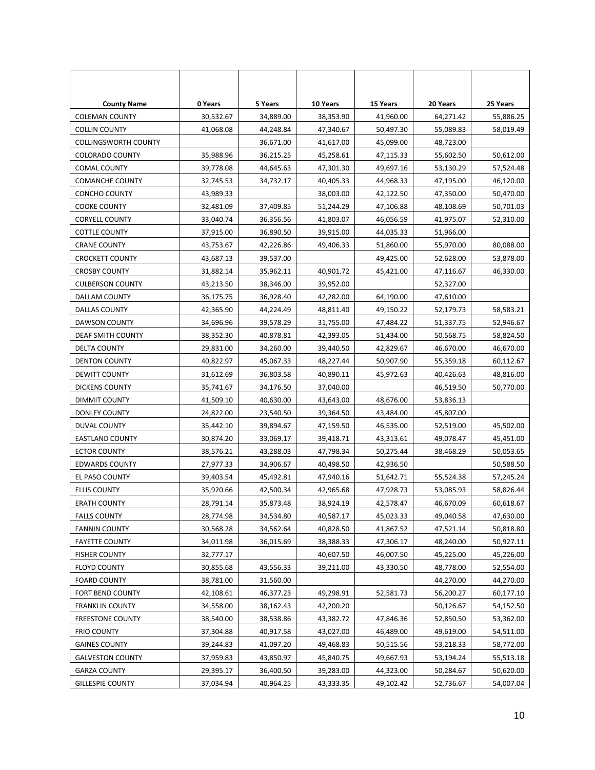| <b>County Name</b>          | 0 Years   | 5 Years   | 10 Years  | 15 Years  | 20 Years  | 25 Years  |
|-----------------------------|-----------|-----------|-----------|-----------|-----------|-----------|
| <b>COLEMAN COUNTY</b>       | 30,532.67 | 34,889.00 | 38,353.90 | 41,960.00 | 64,271.42 | 55,886.25 |
| <b>COLLIN COUNTY</b>        | 41,068.08 | 44,248.84 | 47,340.67 | 50,497.30 | 55,089.83 | 58,019.49 |
| <b>COLLINGSWORTH COUNTY</b> |           | 36,671.00 | 41,617.00 | 45,099.00 | 48,723.00 |           |
| <b>COLORADO COUNTY</b>      | 35,988.96 | 36,215.25 | 45,258.61 | 47,115.33 | 55,602.50 | 50,612.00 |
| COMAL COUNTY                | 39,778.08 | 44,645.63 | 47,301.30 | 49,697.16 | 53,130.29 | 57,524.48 |
| <b>COMANCHE COUNTY</b>      | 32,745.53 | 34,732.17 | 40,405.33 | 44,968.33 | 47,195.00 | 46,120.00 |
| CONCHO COUNTY               | 43,989.33 |           | 38,003.00 | 42,122.50 | 47,350.00 | 50,470.00 |
| COOKE COUNTY                | 32,481.09 | 37,409.85 | 51,244.29 | 47,106.88 | 48,108.69 | 50,701.03 |
| <b>CORYELL COUNTY</b>       | 33,040.74 | 36,356.56 | 41,803.07 | 46,056.59 | 41,975.07 | 52,310.00 |
| COTTLE COUNTY               | 37,915.00 | 36,890.50 | 39,915.00 | 44,035.33 | 51,966.00 |           |
| <b>CRANE COUNTY</b>         | 43,753.67 | 42,226.86 | 49,406.33 | 51,860.00 | 55,970.00 | 80,088.00 |
| <b>CROCKETT COUNTY</b>      | 43,687.13 | 39,537.00 |           | 49,425.00 | 52,628.00 | 53,878.00 |
| <b>CROSBY COUNTY</b>        | 31,882.14 | 35,962.11 | 40,901.72 | 45,421.00 | 47,116.67 | 46,330.00 |
| <b>CULBERSON COUNTY</b>     | 43,213.50 | 38,346.00 | 39,952.00 |           | 52,327.00 |           |
| DALLAM COUNTY               | 36,175.75 | 36,928.40 | 42,282.00 | 64,190.00 | 47,610.00 |           |
| DALLAS COUNTY               | 42,365.90 | 44,224.49 | 48,811.40 | 49,150.22 | 52,179.73 | 58,583.21 |
| <b>DAWSON COUNTY</b>        | 34,696.96 | 39,578.29 | 31,755.00 | 47,484.22 | 51,337.75 | 52,946.67 |
| DEAF SMITH COUNTY           | 38,352.30 | 40,878.81 | 42,393.05 | 51,434.00 | 50,568.75 | 58,824.50 |
| DELTA COUNTY                | 29,831.00 | 34,260.00 | 39,440.50 | 42,829.67 | 46,670.00 | 46,670.00 |
| <b>DENTON COUNTY</b>        | 40,822.97 | 45,067.33 | 48,227.44 | 50,907.90 | 55,359.18 | 60,112.67 |
| DEWITT COUNTY               | 31,612.69 | 36,803.58 | 40,890.11 | 45,972.63 | 40,426.63 | 48,816.00 |
| <b>DICKENS COUNTY</b>       | 35,741.67 | 34,176.50 | 37,040.00 |           | 46,519.50 | 50,770.00 |
| DIMMIT COUNTY               | 41,509.10 | 40,630.00 | 43,643.00 | 48,676.00 | 53,836.13 |           |
| DONLEY COUNTY               | 24,822.00 | 23,540.50 | 39,364.50 | 43,484.00 | 45,807.00 |           |
| DUVAL COUNTY                | 35,442.10 | 39,894.67 | 47,159.50 | 46,535.00 | 52,519.00 | 45,502.00 |
| <b>EASTLAND COUNTY</b>      | 30,874.20 | 33,069.17 | 39,418.71 | 43,313.61 | 49,078.47 | 45,451.00 |
| <b>ECTOR COUNTY</b>         | 38,576.21 | 43,288.03 | 47,798.34 | 50,275.44 | 38,468.29 | 50,053.65 |
| <b>EDWARDS COUNTY</b>       | 27,977.33 | 34,906.67 | 40,498.50 | 42,936.50 |           | 50,588.50 |
| EL PASO COUNTY              | 39,403.54 | 45,492.81 | 47,940.16 | 51,642.71 | 55,524.38 | 57,245.24 |
| <b>ELLIS COUNTY</b>         | 35,920.66 | 42,500.34 | 42,965.68 | 47,928.73 | 53,085.93 | 58,826.44 |
| <b>ERATH COUNTY</b>         | 28,791.14 | 35,873.48 | 38,924.19 | 42,578.47 | 46,670.09 | 60,618.67 |
| <b>FALLS COUNTY</b>         | 28,774.98 | 34,534.80 | 40,587.17 | 45,023.33 | 49,040.58 | 47,630.00 |
| <b>FANNIN COUNTY</b>        | 30,568.28 | 34,562.64 | 40,828.50 | 41,867.52 | 47,521.14 | 50,818.80 |
| <b>FAYETTE COUNTY</b>       | 34,011.98 | 36,015.69 | 38,388.33 | 47,306.17 | 48,240.00 | 50,927.11 |
| <b>FISHER COUNTY</b>        | 32,777.17 |           | 40,607.50 | 46,007.50 | 45,225.00 | 45,226.00 |
| <b>FLOYD COUNTY</b>         | 30,855.68 | 43,556.33 | 39,211.00 | 43,330.50 | 48,778.00 | 52,554.00 |
| <b>FOARD COUNTY</b>         | 38,781.00 | 31,560.00 |           |           | 44,270.00 | 44,270.00 |
| FORT BEND COUNTY            | 42,108.61 | 46,377.23 | 49,298.91 | 52,581.73 | 56,200.27 | 60,177.10 |
| <b>FRANKLIN COUNTY</b>      | 34,558.00 | 38,162.43 | 42,200.20 |           | 50,126.67 | 54,152.50 |
| <b>FREESTONE COUNTY</b>     | 38,540.00 | 38,538.86 | 43,382.72 | 47,846.36 | 52,850.50 | 53,362.00 |
| <b>FRIO COUNTY</b>          | 37,304.88 | 40,917.58 | 43,027.00 | 46,489.00 | 49,619.00 | 54,511.00 |
| <b>GAINES COUNTY</b>        | 39,244.83 | 41,097.20 | 49,468.83 | 50,515.56 | 53,218.33 | 58,772.00 |
| <b>GALVESTON COUNTY</b>     | 37,959.83 | 43,850.97 | 45,840.75 | 49,667.93 | 53,194.24 | 55,513.18 |
| <b>GARZA COUNTY</b>         | 29,395.17 | 36,400.50 | 39,283.00 | 44,323.00 | 50,284.67 | 50,620.00 |
| <b>GILLESPIE COUNTY</b>     | 37,034.94 | 40,964.25 | 43,333.35 | 49,102.42 | 52,736.67 | 54,007.04 |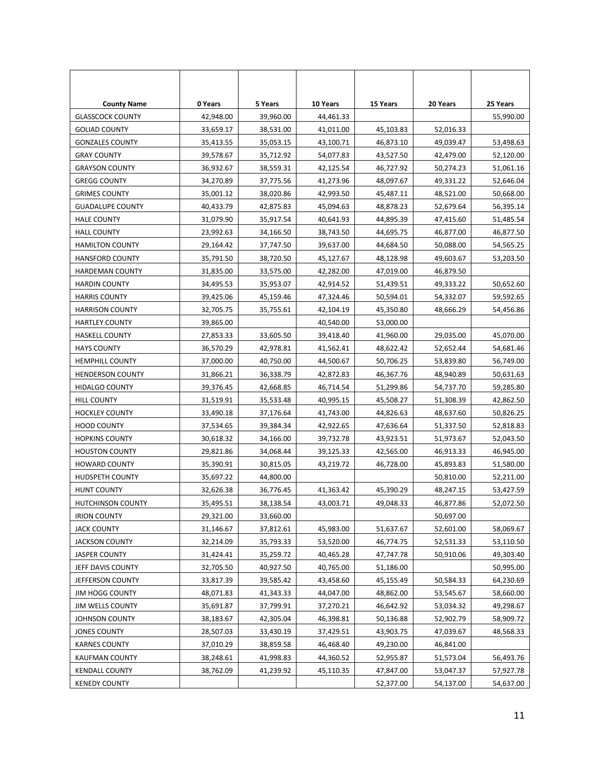| <b>County Name</b>       | 0 Years   | 5 Years   | 10 Years  | 15 Years  | 20 Years  | 25 Years  |
|--------------------------|-----------|-----------|-----------|-----------|-----------|-----------|
| <b>GLASSCOCK COUNTY</b>  | 42,948.00 | 39,960.00 | 44,461.33 |           |           | 55,990.00 |
| <b>GOLIAD COUNTY</b>     | 33,659.17 | 38,531.00 | 41,011.00 | 45,103.83 | 52,016.33 |           |
| <b>GONZALES COUNTY</b>   | 35,413.55 | 35,053.15 | 43,100.71 | 46,873.10 | 49,039.47 | 53,498.63 |
| <b>GRAY COUNTY</b>       | 39,578.67 | 35,712.92 | 54,077.83 | 43,527.50 | 42,479.00 | 52,120.00 |
| <b>GRAYSON COUNTY</b>    | 36,932.67 | 38,559.31 | 42,125.54 | 46,727.92 | 50,274.23 | 51,061.16 |
| <b>GREGG COUNTY</b>      | 34,270.89 | 37,775.56 | 41,273.96 | 48,097.67 | 49,331.22 | 52,646.04 |
| <b>GRIMES COUNTY</b>     | 35,001.12 | 38,020.86 | 42,993.50 | 45,487.11 | 48,521.00 | 50,668.00 |
| <b>GUADALUPE COUNTY</b>  | 40,433.79 | 42,875.83 | 45,094.63 | 48,878.23 | 52,679.64 | 56,395.14 |
| <b>HALE COUNTY</b>       | 31,079.90 | 35,917.54 | 40,641.93 | 44,895.39 | 47,415.60 | 51,485.54 |
| <b>HALL COUNTY</b>       | 23,992.63 | 34,166.50 | 38,743.50 | 44,695.75 | 46,877.00 | 46,877.50 |
| <b>HAMILTON COUNTY</b>   | 29,164.42 | 37,747.50 | 39,637.00 | 44,684.50 | 50,088.00 | 54,565.25 |
| <b>HANSFORD COUNTY</b>   | 35,791.50 | 38,720.50 | 45,127.67 | 48,128.98 | 49,603.67 | 53,203.50 |
| <b>HARDEMAN COUNTY</b>   | 31,835.00 | 33,575.00 | 42,282.00 | 47,019.00 | 46,879.50 |           |
| <b>HARDIN COUNTY</b>     | 34,495.53 | 35,953.07 | 42,914.52 | 51,439.51 | 49,333.22 | 50,652.60 |
| <b>HARRIS COUNTY</b>     | 39,425.06 | 45,159.46 | 47,324.46 | 50,594.01 | 54,332.07 | 59,592.65 |
| <b>HARRISON COUNTY</b>   | 32,705.75 | 35,755.61 | 42,104.19 | 45,350.80 | 48,666.29 | 54,456.86 |
| HARTLEY COUNTY           | 39,865.00 |           | 40,540.00 | 53,000.00 |           |           |
| <b>HASKELL COUNTY</b>    | 27,853.33 | 33,605.50 | 39,418.40 | 41,960.00 | 29,035.00 | 45,070.00 |
| <b>HAYS COUNTY</b>       | 36,570.29 | 42,978.81 | 41,562.41 | 48,622.42 | 52,652.44 | 54,681.46 |
| <b>HEMPHILL COUNTY</b>   | 37,000.00 | 40,750.00 | 44,500.67 | 50,706.25 | 53,839.80 | 56,749.00 |
| <b>HENDERSON COUNTY</b>  | 31,866.21 | 36,338.79 | 42,872.83 | 46,367.76 | 48,940.89 | 50,631.63 |
| <b>HIDALGO COUNTY</b>    | 39,376.45 | 42,668.85 | 46,714.54 | 51,299.86 | 54,737.70 | 59,285.80 |
| HILL COUNTY              | 31,519.91 | 35,533.48 | 40,995.15 | 45,508.27 | 51,308.39 | 42,862.50 |
| <b>HOCKLEY COUNTY</b>    | 33,490.18 | 37,176.64 | 41,743.00 | 44,826.63 | 48,637.60 | 50,826.25 |
| <b>HOOD COUNTY</b>       | 37,534.65 | 39,384.34 | 42,922.65 | 47,636.64 | 51,337.50 | 52,818.83 |
| <b>HOPKINS COUNTY</b>    | 30,618.32 | 34,166.00 | 39,732.78 | 43,923.51 | 51,973.67 | 52,043.50 |
| <b>HOUSTON COUNTY</b>    | 29,821.86 | 34,068.44 | 39,125.33 | 42,565.00 | 46,913.33 | 46,945.00 |
| <b>HOWARD COUNTY</b>     | 35,390.91 | 30,815.05 | 43,219.72 | 46,728.00 | 45,893.83 | 51,580.00 |
| HUDSPETH COUNTY          | 35,697.22 | 44,800.00 |           |           | 50,810.00 | 52,211.00 |
| <b>HUNT COUNTY</b>       | 32,626.38 | 36,776.45 | 41,363.42 | 45,390.29 | 48,247.15 | 53,427.59 |
| <b>HUTCHINSON COUNTY</b> | 35,495.51 | 38,138.54 | 43,003.71 | 49,048.33 | 46,877.86 | 52,072.50 |
| <b>IRION COUNTY</b>      | 29,321.00 | 33,660.00 |           |           | 50,697.00 |           |
| <b>JACK COUNTY</b>       | 31,146.67 | 37,812.61 | 45,983.00 | 51,637.67 | 52,601.00 | 58,069.67 |
| <b>JACKSON COUNTY</b>    | 32,214.09 | 35,793.33 | 53,520.00 | 46,774.75 | 52,531.33 | 53,110.50 |
| <b>JASPER COUNTY</b>     | 31,424.41 | 35,259.72 | 40,465.28 | 47,747.78 | 50,910.06 | 49,303.40 |
| JEFF DAVIS COUNTY        | 32,705.50 | 40,927.50 | 40,765.00 | 51,186.00 |           | 50,995.00 |
| JEFFERSON COUNTY         | 33,817.39 | 39,585.42 | 43,458.60 | 45,155.49 | 50,584.33 | 64,230.69 |
| <b>JIM HOGG COUNTY</b>   | 48,071.83 | 41,343.33 | 44,047.00 | 48,862.00 | 53,545.67 | 58,660.00 |
| <b>JIM WELLS COUNTY</b>  | 35,691.87 | 37,799.91 | 37,270.21 | 46,642.92 | 53,034.32 | 49,298.67 |
| JOHNSON COUNTY           | 38,183.67 | 42,305.04 | 46,398.81 | 50,136.88 | 52,902.79 | 58,909.72 |
| JONES COUNTY             | 28,507.03 | 33,430.19 | 37,429.51 | 43,903.75 | 47,039.67 | 48,568.33 |
| <b>KARNES COUNTY</b>     | 37,010.29 | 38,859.58 | 46,468.40 | 49,230.00 | 46,841.00 |           |
| KAUFMAN COUNTY           | 38,248.61 | 41,998.83 | 44,360.52 | 52,955.87 | 51,573.04 | 56,493.76 |
| <b>KENDALL COUNTY</b>    | 38,762.09 | 41,239.92 | 45,110.35 | 47,847.00 | 53,047.37 | 57,927.78 |
| <b>KENEDY COUNTY</b>     |           |           |           | 52,377.00 | 54,137.00 | 54,637.00 |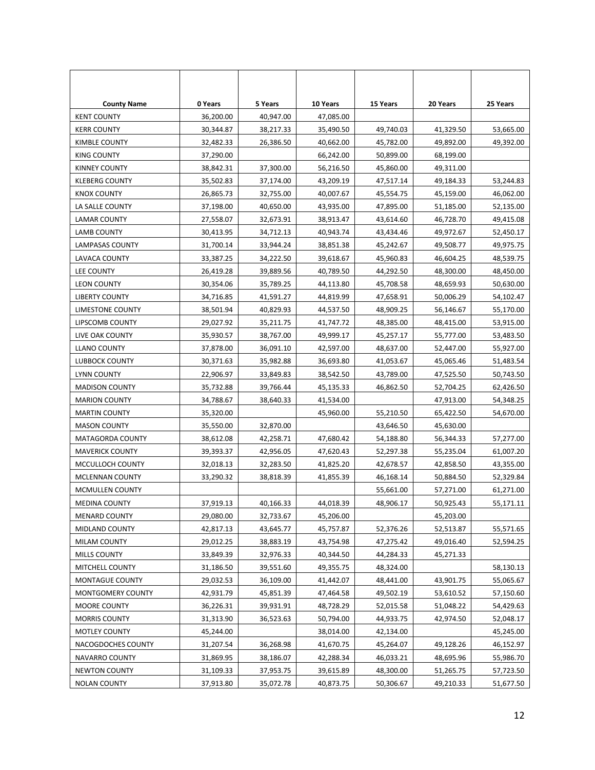| <b>County Name</b>     | 0 Years   | 5 Years   | 10 Years  | 15 Years  | 20 Years  | 25 Years  |
|------------------------|-----------|-----------|-----------|-----------|-----------|-----------|
| <b>KENT COUNTY</b>     | 36,200.00 | 40,947.00 | 47,085.00 |           |           |           |
| <b>KERR COUNTY</b>     | 30,344.87 | 38,217.33 | 35,490.50 | 49,740.03 | 41,329.50 | 53,665.00 |
| KIMBLE COUNTY          | 32,482.33 | 26,386.50 | 40,662.00 | 45,782.00 | 49,892.00 | 49,392.00 |
| KING COUNTY            | 37,290.00 |           | 66,242.00 | 50,899.00 | 68,199.00 |           |
| <b>KINNEY COUNTY</b>   | 38,842.31 | 37,300.00 | 56,216.50 | 45,860.00 | 49,311.00 |           |
| <b>KLEBERG COUNTY</b>  | 35,502.83 | 37,174.00 | 43,209.19 | 47,517.14 | 49,184.33 | 53,244.83 |
| KNOX COUNTY            | 26,865.73 | 32,755.00 | 40,007.67 | 45,554.75 | 45,159.00 | 46,062.00 |
| LA SALLE COUNTY        | 37,198.00 | 40,650.00 | 43,935.00 | 47,895.00 | 51,185.00 | 52,135.00 |
| LAMAR COUNTY           | 27,558.07 | 32,673.91 | 38,913.47 | 43,614.60 | 46,728.70 | 49,415.08 |
| LAMB COUNTY            | 30,413.95 | 34,712.13 | 40,943.74 | 43,434.46 | 49,972.67 | 52,450.17 |
| LAMPASAS COUNTY        | 31,700.14 | 33,944.24 | 38,851.38 | 45,242.67 | 49,508.77 | 49,975.75 |
| LAVACA COUNTY          | 33,387.25 | 34,222.50 | 39,618.67 | 45,960.83 | 46,604.25 | 48,539.75 |
| <b>LEE COUNTY</b>      | 26,419.28 | 39,889.56 | 40,789.50 | 44,292.50 | 48,300.00 | 48,450.00 |
| <b>LEON COUNTY</b>     | 30,354.06 | 35,789.25 | 44,113.80 | 45,708.58 | 48,659.93 | 50,630.00 |
| <b>LIBERTY COUNTY</b>  | 34,716.85 | 41,591.27 | 44,819.99 | 47,658.91 | 50,006.29 | 54,102.47 |
| LIMESTONE COUNTY       | 38,501.94 | 40,829.93 | 44,537.50 | 48,909.25 | 56,146.67 | 55,170.00 |
| LIPSCOMB COUNTY        | 29,027.92 | 35,211.75 | 41,747.72 | 48,385.00 | 48,415.00 | 53,915.00 |
| LIVE OAK COUNTY        | 35,930.57 | 38,767.00 | 49,999.17 | 45,257.17 | 55,777.00 | 53,483.50 |
| <b>LLANO COUNTY</b>    | 37,878.00 | 36,091.10 | 42,597.00 | 48,637.00 | 52,447.00 | 55,927.00 |
| LUBBOCK COUNTY         | 30,371.63 | 35,982.88 | 36,693.80 | 41,053.67 | 45,065.46 | 51,483.54 |
| <b>LYNN COUNTY</b>     | 22,906.97 | 33,849.83 | 38,542.50 | 43,789.00 | 47,525.50 | 50,743.50 |
| <b>MADISON COUNTY</b>  | 35,732.88 | 39,766.44 | 45,135.33 | 46,862.50 | 52,704.25 | 62,426.50 |
| <b>MARION COUNTY</b>   | 34,788.67 | 38,640.33 | 41,534.00 |           | 47,913.00 | 54,348.25 |
| <b>MARTIN COUNTY</b>   | 35,320.00 |           | 45,960.00 | 55,210.50 | 65,422.50 | 54,670.00 |
| <b>MASON COUNTY</b>    | 35,550.00 | 32,870.00 |           | 43,646.50 | 45,630.00 |           |
| MATAGORDA COUNTY       | 38,612.08 | 42,258.71 | 47,680.42 | 54,188.80 | 56,344.33 | 57,277.00 |
| <b>MAVERICK COUNTY</b> | 39,393.37 | 42,956.05 | 47,620.43 | 52,297.38 | 55,235.04 | 61,007.20 |
| MCCULLOCH COUNTY       | 32,018.13 | 32,283.50 | 41,825.20 | 42,678.57 | 42,858.50 | 43,355.00 |
| MCLENNAN COUNTY        | 33,290.32 | 38,818.39 | 41,855.39 | 46,168.14 | 50,884.50 | 52,329.84 |
| MCMULLEN COUNTY        |           |           |           | 55,661.00 | 57,271.00 | 61,271.00 |
| <b>MEDINA COUNTY</b>   | 37,919.13 | 40,166.33 | 44,018.39 | 48,906.17 | 50,925.43 | 55,171.11 |
| <b>MENARD COUNTY</b>   | 29,080.00 | 32,733.67 | 45,206.00 |           | 45,203.00 |           |
| MIDLAND COUNTY         | 42,817.13 | 43,645.77 | 45,757.87 | 52,376.26 | 52,513.87 | 55,571.65 |
| MILAM COUNTY           | 29,012.25 | 38,883.19 | 43,754.98 | 47,275.42 | 49,016.40 | 52,594.25 |
| MILLS COUNTY           | 33,849.39 | 32,976.33 | 40,344.50 | 44,284.33 | 45,271.33 |           |
| MITCHELL COUNTY        | 31,186.50 | 39,551.60 | 49,355.75 | 48,324.00 |           | 58,130.13 |
| <b>MONTAGUE COUNTY</b> | 29,032.53 | 36,109.00 | 41,442.07 | 48,441.00 | 43,901.75 | 55,065.67 |
| MONTGOMERY COUNTY      | 42,931.79 | 45,851.39 | 47,464.58 | 49,502.19 | 53,610.52 | 57,150.60 |
| MOORE COUNTY           | 36,226.31 | 39,931.91 | 48,728.29 | 52,015.58 | 51,048.22 | 54,429.63 |
| <b>MORRIS COUNTY</b>   | 31,313.90 | 36,523.63 | 50,794.00 | 44,933.75 | 42,974.50 | 52,048.17 |
| MOTLEY COUNTY          | 45,244.00 |           | 38,014.00 | 42,134.00 |           | 45,245.00 |
| NACOGDOCHES COUNTY     | 31,207.54 | 36,268.98 | 41,670.75 | 45,264.07 | 49,128.26 | 46,152.97 |
| NAVARRO COUNTY         | 31,869.95 | 38,186.07 | 42,288.34 | 46,033.21 | 48,695.96 | 55,986.70 |
| <b>NEWTON COUNTY</b>   | 31,109.33 | 37,953.75 | 39,615.89 | 48,300.00 | 51,265.75 | 57,723.50 |
| <b>NOLAN COUNTY</b>    | 37,913.80 | 35,072.78 | 40,873.75 | 50,306.67 | 49,210.33 | 51,677.50 |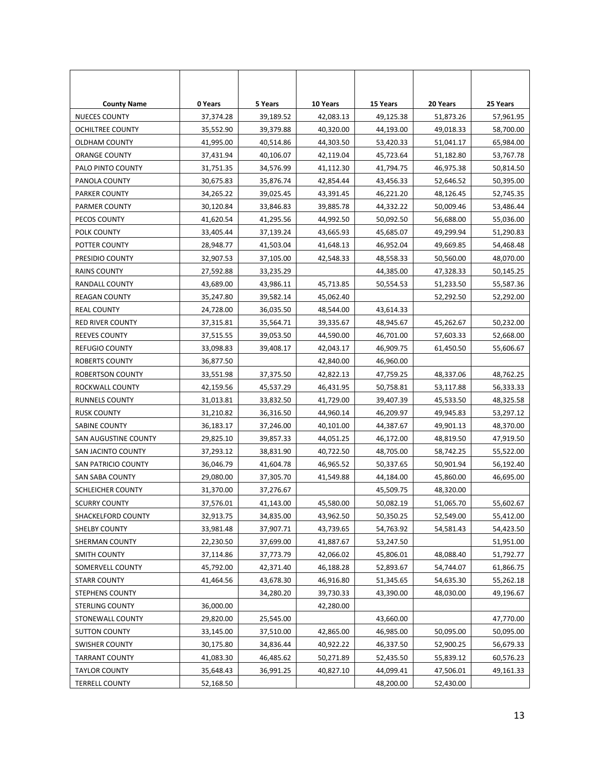| <b>County Name</b>      | 0 Years   | 5 Years   | 10 Years  | 15 Years  | 20 Years  | 25 Years  |
|-------------------------|-----------|-----------|-----------|-----------|-----------|-----------|
| <b>NUECES COUNTY</b>    | 37,374.28 | 39,189.52 | 42,083.13 | 49,125.38 | 51,873.26 | 57,961.95 |
| OCHILTREE COUNTY        | 35,552.90 | 39,379.88 | 40,320.00 | 44,193.00 | 49,018.33 | 58,700.00 |
| OLDHAM COUNTY           | 41,995.00 | 40,514.86 | 44,303.50 | 53,420.33 | 51,041.17 | 65,984.00 |
| ORANGE COUNTY           | 37,431.94 | 40,106.07 | 42,119.04 | 45,723.64 | 51,182.80 | 53,767.78 |
| PALO PINTO COUNTY       | 31,751.35 | 34,576.99 | 41,112.30 | 41,794.75 | 46,975.38 | 50,814.50 |
| PANOLA COUNTY           | 30,675.83 | 35,876.74 | 42,854.44 | 43,456.33 | 52,646.52 | 50,395.00 |
| PARKER COUNTY           | 34,265.22 | 39,025.45 | 43,391.45 | 46,221.20 | 48,126.45 | 52,745.35 |
| PARMER COUNTY           | 30,120.84 | 33,846.83 | 39,885.78 | 44,332.22 | 50,009.46 | 53,486.44 |
| PECOS COUNTY            | 41,620.54 | 41,295.56 | 44,992.50 | 50,092.50 | 56,688.00 | 55,036.00 |
| POLK COUNTY             | 33,405.44 | 37,139.24 | 43,665.93 | 45,685.07 | 49,299.94 | 51,290.83 |
| POTTER COUNTY           | 28,948.77 | 41,503.04 | 41,648.13 | 46,952.04 | 49,669.85 | 54,468.48 |
| PRESIDIO COUNTY         | 32,907.53 | 37,105.00 | 42,548.33 | 48,558.33 | 50,560.00 | 48,070.00 |
| <b>RAINS COUNTY</b>     | 27,592.88 | 33,235.29 |           | 44,385.00 | 47,328.33 | 50,145.25 |
| RANDALL COUNTY          | 43,689.00 | 43,986.11 | 45,713.85 | 50,554.53 | 51,233.50 | 55,587.36 |
| <b>REAGAN COUNTY</b>    | 35,247.80 | 39,582.14 | 45,062.40 |           | 52,292.50 | 52,292.00 |
| <b>REAL COUNTY</b>      | 24,728.00 | 36,035.50 | 48,544.00 | 43,614.33 |           |           |
| <b>RED RIVER COUNTY</b> | 37,315.81 | 35,564.71 | 39,335.67 | 48,945.67 | 45,262.67 | 50,232.00 |
| <b>REEVES COUNTY</b>    | 37,515.55 | 39,053.50 | 44,590.00 | 46,701.00 | 57,603.33 | 52,668.00 |
| <b>REFUGIO COUNTY</b>   | 33,098.83 | 39,408.17 | 42,043.17 | 46,909.75 | 61,450.50 | 55,606.67 |
| ROBERTS COUNTY          | 36,877.50 |           | 42,840.00 | 46,960.00 |           |           |
| ROBERTSON COUNTY        | 33,551.98 | 37,375.50 | 42,822.13 | 47,759.25 | 48,337.06 | 48,762.25 |
| ROCKWALL COUNTY         | 42,159.56 | 45,537.29 | 46,431.95 | 50,758.81 | 53,117.88 | 56,333.33 |
| RUNNELS COUNTY          | 31,013.81 | 33,832.50 | 41,729.00 | 39,407.39 | 45,533.50 | 48,325.58 |
| <b>RUSK COUNTY</b>      | 31,210.82 | 36,316.50 | 44,960.14 | 46,209.97 | 49,945.83 | 53,297.12 |
| SABINE COUNTY           | 36,183.17 | 37,246.00 | 40,101.00 | 44,387.67 | 49,901.13 | 48,370.00 |
| SAN AUGUSTINE COUNTY    | 29,825.10 | 39,857.33 | 44,051.25 | 46,172.00 | 48,819.50 | 47,919.50 |
| SAN JACINTO COUNTY      | 37,293.12 | 38,831.90 | 40,722.50 | 48,705.00 | 58,742.25 | 55,522.00 |
| SAN PATRICIO COUNTY     | 36,046.79 | 41,604.78 | 46,965.52 | 50,337.65 | 50,901.94 | 56,192.40 |
| SAN SABA COUNTY         | 29,080.00 | 37,305.70 | 41,549.88 | 44,184.00 | 45,860.00 | 46,695.00 |
| SCHLEICHER COUNTY       | 31,370.00 | 37,276.67 |           | 45,509.75 | 48,320.00 |           |
| <b>SCURRY COUNTY</b>    | 37,576.01 | 41.143.00 | 45,580.00 | 50,082.19 | 51,065.70 | 55.602.67 |
| SHACKELFORD COUNTY      | 32,913.75 | 34,835.00 | 43,962.50 | 50,350.25 | 52,549.00 | 55,412.00 |
| <b>SHELBY COUNTY</b>    | 33,981.48 | 37,907.71 | 43,739.65 | 54,763.92 | 54,581.43 | 54,423.50 |
| SHERMAN COUNTY          | 22,230.50 | 37,699.00 | 41,887.67 | 53,247.50 |           | 51,951.00 |
| <b>SMITH COUNTY</b>     | 37,114.86 | 37,773.79 | 42,066.02 | 45,806.01 | 48,088.40 | 51,792.77 |
| SOMERVELL COUNTY        | 45,792.00 | 42,371.40 | 46,188.28 | 52,893.67 | 54,744.07 | 61,866.75 |
| <b>STARR COUNTY</b>     | 41,464.56 | 43,678.30 | 46,916.80 | 51,345.65 | 54,635.30 | 55,262.18 |
| STEPHENS COUNTY         |           | 34,280.20 | 39,730.33 | 43,390.00 | 48,030.00 | 49,196.67 |
| <b>STERLING COUNTY</b>  | 36,000.00 |           | 42,280.00 |           |           |           |
| <b>STONEWALL COUNTY</b> | 29,820.00 | 25,545.00 |           | 43,660.00 |           | 47,770.00 |
| <b>SUTTON COUNTY</b>    | 33,145.00 | 37,510.00 | 42,865.00 | 46,985.00 | 50,095.00 | 50,095.00 |
| <b>SWISHER COUNTY</b>   | 30,175.80 | 34,836.44 | 40,922.22 | 46,337.50 | 52,900.25 | 56,679.33 |
| <b>TARRANT COUNTY</b>   | 41,083.30 | 46,485.62 | 50,271.89 | 52,435.50 | 55,839.12 | 60,576.23 |
| <b>TAYLOR COUNTY</b>    | 35,648.43 | 36,991.25 | 40,827.10 | 44,099.41 | 47,506.01 | 49,161.33 |
| <b>TERRELL COUNTY</b>   | 52,168.50 |           |           | 48,200.00 | 52,430.00 |           |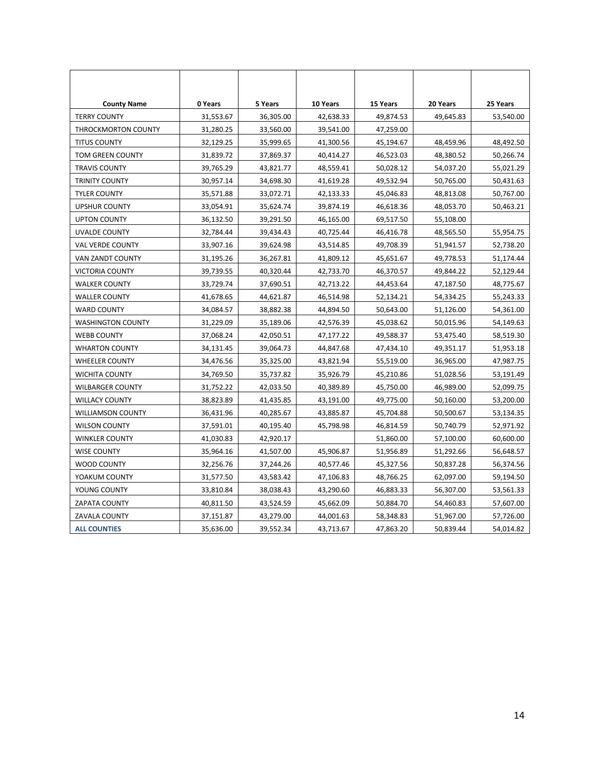| <b>County Name</b>         | 0 Years   | 5 Years   | 10 Years  | 15 Years  | 20 Years  | 25 Years  |
|----------------------------|-----------|-----------|-----------|-----------|-----------|-----------|
| <b>TERRY COUNTY</b>        | 31,553.67 | 36,305.00 | 42,638.33 | 49,874.53 | 49,645.83 | 53,540.00 |
| <b>THROCKMORTON COUNTY</b> | 31,280.25 | 33,560.00 | 39,541.00 | 47,259.00 |           |           |
| <b>TITUS COUNTY</b>        | 32,129.25 | 35,999.65 | 41,300.56 | 45,194.67 | 48,459.96 | 48,492.50 |
| <b>TOM GREEN COUNTY</b>    | 31,839.72 | 37,869.37 | 40,414.27 | 46,523.03 | 48,380.52 | 50,266.74 |
| <b>TRAVIS COUNTY</b>       | 39,765.29 | 43,821.77 | 48,559.41 | 50,028.12 | 54,037.20 | 55,021.29 |
| <b>TRINITY COUNTY</b>      | 30,957.14 | 34,698.30 | 41,619.28 | 49,532.94 | 50,765.00 | 50,431.63 |
| <b>TYLER COUNTY</b>        | 35,571.88 | 33,072.71 | 42,133.33 | 45,046.83 | 48,813.08 | 50,767.00 |
| <b>UPSHUR COUNTY</b>       | 33,054.91 | 35,624.74 | 39,874.19 | 46,618.36 | 48,053.70 | 50,463.21 |
| <b>UPTON COUNTY</b>        | 36,132.50 | 39,291.50 | 46,165.00 | 69,517.50 | 55,108.00 |           |
| <b>UVALDE COUNTY</b>       | 32,784.44 | 39,434.43 | 40,725.44 | 46,416.78 | 48,565.50 | 55,954.75 |
| <b>VAL VERDE COUNTY</b>    | 33,907.16 | 39,624.98 | 43,514.85 | 49,708.39 | 51,941.57 | 52,738.20 |
| VAN ZANDT COUNTY           | 31,195.26 | 36,267.81 | 41,809.12 | 45,651.67 | 49,778.53 | 51,174.44 |
| <b>VICTORIA COUNTY</b>     | 39,739.55 | 40,320.44 | 42,733.70 | 46,370.57 | 49,844.22 | 52,129.44 |
| <b>WALKER COUNTY</b>       | 33,729.74 | 37,690.51 | 42,713.22 | 44,453.64 | 47,187.50 | 48,775.67 |
| <b>WALLER COUNTY</b>       | 41,678.65 | 44,621.87 | 46,514.98 | 52,134.21 | 54,334.25 | 55,243.33 |
| <b>WARD COUNTY</b>         | 34,084.57 | 38,882.38 | 44,894.50 | 50,643.00 | 51,126.00 | 54,361.00 |
| <b>WASHINGTON COUNTY</b>   | 31,229.09 | 35,189.06 | 42,576.39 | 45,038.62 | 50,015.96 | 54,149.63 |
| <b>WEBB COUNTY</b>         | 37,068.24 | 42,050.51 | 47,177.22 | 49,588.37 | 53,475.40 | 58,519.30 |
| <b>WHARTON COUNTY</b>      | 34,131.45 | 39,064.73 | 44,847.68 | 47,434.10 | 49,351.17 | 51,953.18 |
| <b>WHEELER COUNTY</b>      | 34,476.56 | 35,325.00 | 43,821.94 | 55,519.00 | 36,965.00 | 47,987.75 |
| WICHITA COUNTY             | 34,769.50 | 35,737.82 | 35,926.79 | 45,210.86 | 51,028.56 | 53,191.49 |
| <b>WILBARGER COUNTY</b>    | 31,752.22 | 42,033.50 | 40,389.89 | 45,750.00 | 46,989.00 | 52,099.75 |
| <b>WILLACY COUNTY</b>      | 38,823.89 | 41,435.85 | 43,191.00 | 49,775.00 | 50,160.00 | 53,200.00 |
| <b>WILLIAMSON COUNTY</b>   | 36,431.96 | 40,285.67 | 43,885.87 | 45,704.88 | 50,500.67 | 53,134.35 |
| <b>WILSON COUNTY</b>       | 37,591.01 | 40,195.40 | 45,798.98 | 46,814.59 | 50,740.79 | 52,971.92 |
| <b>WINKLER COUNTY</b>      | 41,030.83 | 42,920.17 |           | 51,860.00 | 57,100.00 | 60,600.00 |
| <b>WISE COUNTY</b>         | 35,964.16 | 41,507.00 | 45,906.87 | 51,956.89 | 51,292.66 | 56,648.57 |
| WOOD COUNTY                | 32,256.76 | 37,244.26 | 40,577.46 | 45,327.56 | 50,837.28 | 56,374.56 |
| YOAKUM COUNTY              | 31,577.50 | 43,583.42 | 47,106.83 | 48,766.25 | 62,097.00 | 59,194.50 |
| YOUNG COUNTY               | 33,810.84 | 38,038.43 | 43,290.60 | 46,883.33 | 56,307.00 | 53,561.33 |
| <b>ZAPATA COUNTY</b>       | 40,811.50 | 43,524.59 | 45,662.09 | 50,884.70 | 54,460.83 | 57,607.00 |
| ZAVALA COUNTY              | 37,151.87 | 43,279.00 | 44,001.63 | 58,348.83 | 51,967.00 | 57,726.00 |
| <b>ALL COUNTIES</b>        | 35,636.00 | 39,552.34 | 43,713.67 | 47,863.20 | 50,839.44 | 54,014.82 |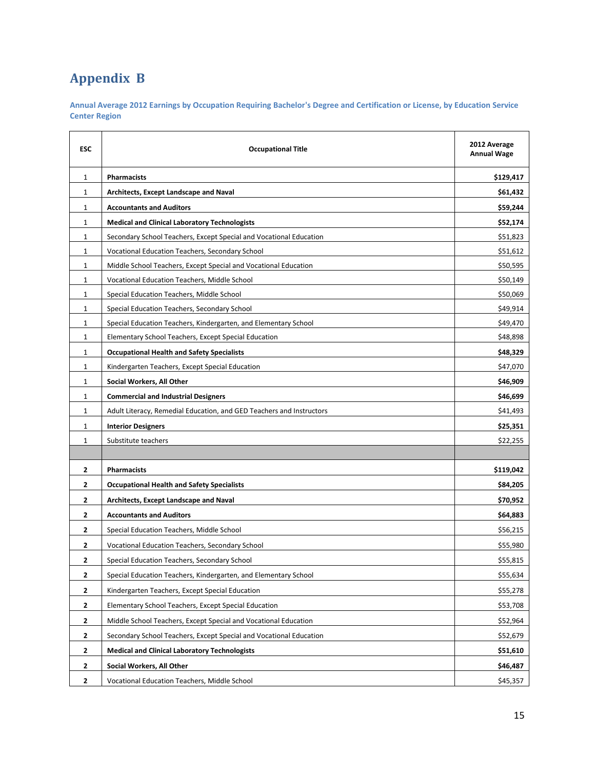# **Appendix B**

**Annual Average 2012 Earnings by Occupation Requiring Bachelor's Degree and Certification or License, by Education Service Center Region**

| <b>ESC</b>     | <b>Occupational Title</b>                                            | 2012 Average<br><b>Annual Wage</b> |
|----------------|----------------------------------------------------------------------|------------------------------------|
| $\mathbf{1}$   | <b>Pharmacists</b>                                                   | \$129,417                          |
| $\mathbf{1}$   | Architects, Except Landscape and Naval                               | \$61,432                           |
| 1              | <b>Accountants and Auditors</b>                                      | \$59,244                           |
| 1              | <b>Medical and Clinical Laboratory Technologists</b>                 | \$52,174                           |
| 1              | Secondary School Teachers, Except Special and Vocational Education   | \$51,823                           |
| $\mathbf{1}$   | Vocational Education Teachers, Secondary School                      | \$51,612                           |
| 1              | Middle School Teachers, Except Special and Vocational Education      | \$50,595                           |
| 1              | Vocational Education Teachers, Middle School                         | \$50,149                           |
| 1              | Special Education Teachers, Middle School                            | \$50,069                           |
| 1              | Special Education Teachers, Secondary School                         | \$49,914                           |
| $\mathbf{1}$   | Special Education Teachers, Kindergarten, and Elementary School      | \$49,470                           |
| 1              | Elementary School Teachers, Except Special Education                 | \$48,898                           |
| $\mathbf{1}$   | <b>Occupational Health and Safety Specialists</b>                    | \$48,329                           |
| $\mathbf{1}$   | Kindergarten Teachers, Except Special Education                      | \$47,070                           |
| 1              | Social Workers, All Other                                            | \$46,909                           |
| 1              | <b>Commercial and Industrial Designers</b>                           | \$46,699                           |
| 1              | Adult Literacy, Remedial Education, and GED Teachers and Instructors | \$41,493                           |
| 1              | <b>Interior Designers</b>                                            | \$25,351                           |
| 1              | Substitute teachers                                                  | \$22,255                           |
|                |                                                                      |                                    |
| 2              | <b>Pharmacists</b>                                                   | \$119,042                          |
| $\mathbf{2}$   | <b>Occupational Health and Safety Specialists</b>                    | \$84,205                           |
| $\overline{2}$ | Architects, Except Landscape and Naval                               | \$70,952                           |
| 2              | <b>Accountants and Auditors</b>                                      | \$64,883                           |
| $\overline{2}$ | Special Education Teachers, Middle School                            | \$56,215                           |
| 2              | Vocational Education Teachers, Secondary School                      | \$55,980                           |
| 2              | Special Education Teachers, Secondary School                         | \$55,815                           |
| $\mathbf{2}$   | Special Education Teachers, Kindergarten, and Elementary School      | \$55,634                           |
| $\mathbf{2}$   | Kindergarten Teachers, Except Special Education                      | \$55,278                           |
| $\mathbf{2}$   | Elementary School Teachers, Except Special Education                 | \$53,708                           |
| 2              | Middle School Teachers, Except Special and Vocational Education      | \$52,964                           |
| 2              | Secondary School Teachers, Except Special and Vocational Education   | \$52,679                           |
| $\mathbf{2}$   | <b>Medical and Clinical Laboratory Technologists</b>                 | \$51,610                           |
| $\mathbf{2}$   | Social Workers, All Other                                            | \$46,487                           |
| $\mathbf{2}$   | Vocational Education Teachers, Middle School                         | \$45,357                           |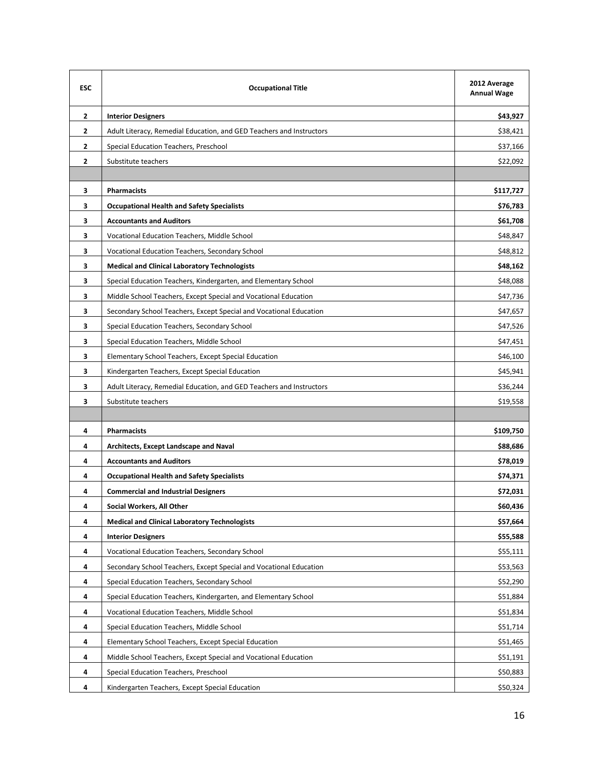| <b>ESC</b>     | <b>Occupational Title</b>                                            | 2012 Average<br><b>Annual Wage</b> |
|----------------|----------------------------------------------------------------------|------------------------------------|
| $\mathbf{2}$   | <b>Interior Designers</b>                                            | \$43,927                           |
| $\mathbf{2}$   | Adult Literacy, Remedial Education, and GED Teachers and Instructors | \$38,421                           |
| 2              | Special Education Teachers, Preschool                                | \$37,166                           |
| $\overline{2}$ | Substitute teachers                                                  | \$22,092                           |
|                |                                                                      |                                    |
| 3              | <b>Pharmacists</b>                                                   | \$117,727                          |
| 3              | <b>Occupational Health and Safety Specialists</b>                    | \$76,783                           |
| 3              | <b>Accountants and Auditors</b>                                      | \$61,708                           |
| 3              | Vocational Education Teachers, Middle School                         | \$48,847                           |
| 3              | Vocational Education Teachers, Secondary School                      | \$48,812                           |
| 3              | <b>Medical and Clinical Laboratory Technologists</b>                 | \$48,162                           |
| 3              | Special Education Teachers, Kindergarten, and Elementary School      | \$48,088                           |
| 3              | Middle School Teachers, Except Special and Vocational Education      | \$47,736                           |
| 3              | Secondary School Teachers, Except Special and Vocational Education   | \$47,657                           |
| 3              | Special Education Teachers, Secondary School                         | \$47,526                           |
| 3              | Special Education Teachers, Middle School                            | \$47,451                           |
| 3              | Elementary School Teachers, Except Special Education                 | \$46,100                           |
| 3              | Kindergarten Teachers, Except Special Education                      | \$45,941                           |
| 3              | Adult Literacy, Remedial Education, and GED Teachers and Instructors | \$36,244                           |
| 3              | Substitute teachers                                                  | \$19,558                           |
|                |                                                                      |                                    |
| 4              | <b>Pharmacists</b>                                                   | \$109,750                          |
| 4              | Architects, Except Landscape and Naval                               | \$88,686                           |
| 4              | <b>Accountants and Auditors</b>                                      | \$78,019                           |
| 4              | <b>Occupational Health and Safety Specialists</b>                    | \$74,371                           |
| 4              | <b>Commercial and Industrial Designers</b>                           | \$72,031                           |
| 4              | Social Workers, All Other                                            | \$60,436                           |
| 4              | <b>Medical and Clinical Laboratory Technologists</b>                 | \$57,664                           |
| 4              | <b>Interior Designers</b>                                            | \$55,588                           |
| 4              | Vocational Education Teachers, Secondary School                      | \$55,111                           |
| 4              | Secondary School Teachers, Except Special and Vocational Education   | \$53,563                           |
| 4              | Special Education Teachers, Secondary School                         | \$52,290                           |
| 4              | Special Education Teachers, Kindergarten, and Elementary School      | \$51,884                           |
| 4              | Vocational Education Teachers, Middle School                         | \$51,834                           |
| 4              | Special Education Teachers, Middle School                            | \$51,714                           |
| 4              | Elementary School Teachers, Except Special Education                 | \$51,465                           |
| 4              | Middle School Teachers, Except Special and Vocational Education      | \$51,191                           |
| 4              | Special Education Teachers, Preschool                                | \$50,883                           |
| 4              | Kindergarten Teachers, Except Special Education                      | \$50,324                           |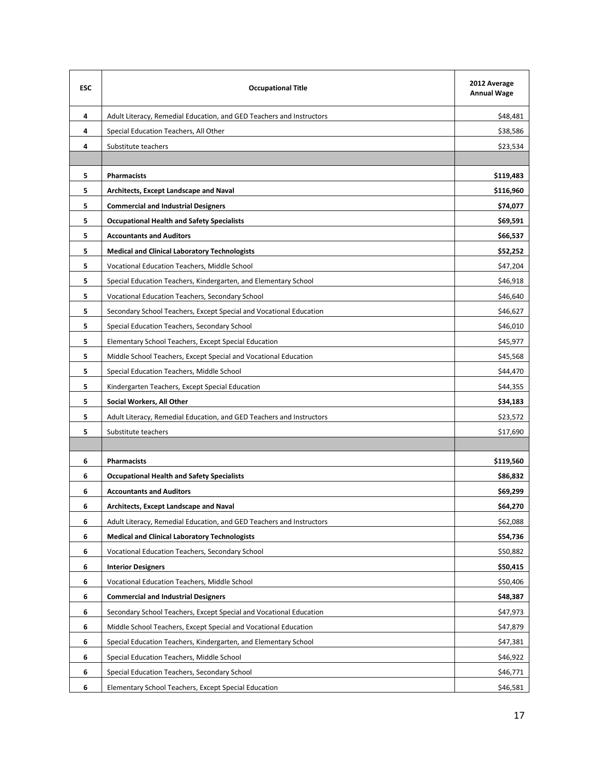| <b>ESC</b> | <b>Occupational Title</b>                                            | 2012 Average<br><b>Annual Wage</b> |
|------------|----------------------------------------------------------------------|------------------------------------|
| 4          | Adult Literacy, Remedial Education, and GED Teachers and Instructors | \$48,481                           |
| 4          | Special Education Teachers, All Other                                | \$38,586                           |
| 4          | Substitute teachers                                                  | \$23,534                           |
|            |                                                                      |                                    |
| 5          | <b>Pharmacists</b>                                                   | \$119,483                          |
| 5          | Architects, Except Landscape and Naval                               | \$116,960                          |
| 5          | <b>Commercial and Industrial Designers</b>                           | \$74,077                           |
| 5          | <b>Occupational Health and Safety Specialists</b>                    | \$69,591                           |
| 5          | <b>Accountants and Auditors</b>                                      | \$66,537                           |
| 5          | <b>Medical and Clinical Laboratory Technologists</b>                 | \$52,252                           |
| 5          | Vocational Education Teachers, Middle School                         | \$47,204                           |
| 5          | Special Education Teachers, Kindergarten, and Elementary School      | \$46,918                           |
| 5          | Vocational Education Teachers, Secondary School                      | \$46,640                           |
| 5          | Secondary School Teachers, Except Special and Vocational Education   | \$46,627                           |
| 5          | Special Education Teachers, Secondary School                         | \$46,010                           |
| 5          | Elementary School Teachers, Except Special Education                 | \$45,977                           |
| 5          | Middle School Teachers, Except Special and Vocational Education      | \$45,568                           |
| 5          | Special Education Teachers, Middle School                            | \$44,470                           |
| 5          | Kindergarten Teachers, Except Special Education                      | \$44,355                           |
| 5          | Social Workers, All Other                                            | \$34,183                           |
| 5          | Adult Literacy, Remedial Education, and GED Teachers and Instructors | \$23,572                           |
| 5          | Substitute teachers                                                  | \$17,690                           |
|            |                                                                      |                                    |
| 6          | <b>Pharmacists</b>                                                   | \$119,560                          |
| 6          | <b>Occupational Health and Safety Specialists</b>                    | \$86,832                           |
| 6          | <b>Accountants and Auditors</b>                                      | \$69,299                           |
| 6          | Architects, Except Landscape and Naval                               | \$64,270                           |
| 6          | Adult Literacy, Remedial Education, and GED Teachers and Instructors | \$62,088                           |
| 6          | <b>Medical and Clinical Laboratory Technologists</b>                 | \$54,736                           |
| 6          | Vocational Education Teachers, Secondary School                      | \$50,882                           |
| 6          | <b>Interior Designers</b>                                            | \$50,415                           |
| 6          | Vocational Education Teachers, Middle School                         | \$50,406                           |
| 6          | <b>Commercial and Industrial Designers</b>                           | \$48,387                           |
| 6          | Secondary School Teachers, Except Special and Vocational Education   | \$47,973                           |
| 6          | Middle School Teachers, Except Special and Vocational Education      | \$47,879                           |
| 6          | Special Education Teachers, Kindergarten, and Elementary School      | \$47,381                           |
| 6          | Special Education Teachers, Middle School                            | \$46,922                           |
| 6          | Special Education Teachers, Secondary School                         | \$46,771                           |
| 6          | Elementary School Teachers, Except Special Education                 | \$46,581                           |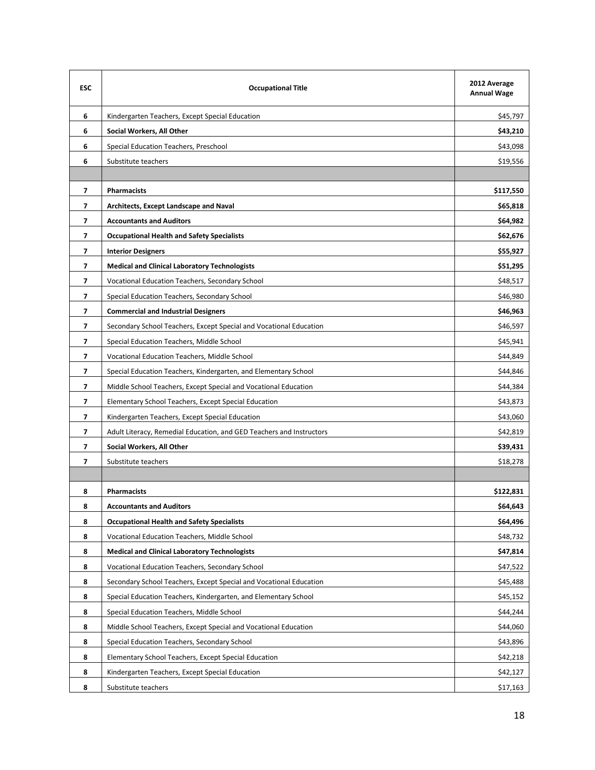| <b>ESC</b>               | <b>Occupational Title</b>                                            | 2012 Average<br><b>Annual Wage</b> |
|--------------------------|----------------------------------------------------------------------|------------------------------------|
| 6                        | Kindergarten Teachers, Except Special Education                      | \$45,797                           |
| 6                        | Social Workers, All Other                                            | \$43,210                           |
| 6                        | Special Education Teachers, Preschool                                | \$43,098                           |
| 6                        | Substitute teachers                                                  | \$19,556                           |
|                          |                                                                      |                                    |
| $\overline{\phantom{a}}$ | <b>Pharmacists</b>                                                   | \$117,550                          |
| 7                        | <b>Architects, Except Landscape and Naval</b>                        | \$65,818                           |
| $\overline{ }$           | <b>Accountants and Auditors</b>                                      | \$64,982                           |
| $\overline{ }$           | <b>Occupational Health and Safety Specialists</b>                    | \$62,676                           |
| 7                        | <b>Interior Designers</b>                                            | \$55,927                           |
| $\overline{\phantom{a}}$ | <b>Medical and Clinical Laboratory Technologists</b>                 | \$51,295                           |
| $\overline{\phantom{a}}$ | Vocational Education Teachers, Secondary School                      | \$48,517                           |
| 7                        | Special Education Teachers, Secondary School                         | \$46,980                           |
| $\overline{\phantom{a}}$ | <b>Commercial and Industrial Designers</b>                           | \$46,963                           |
| $\overline{ }$           | Secondary School Teachers, Except Special and Vocational Education   | \$46,597                           |
| 7                        | Special Education Teachers, Middle School                            | \$45,941                           |
| $\overline{ }$           | Vocational Education Teachers, Middle School                         | \$44,849                           |
| 7                        | Special Education Teachers, Kindergarten, and Elementary School      | \$44,846                           |
| $\overline{\phantom{a}}$ | Middle School Teachers, Except Special and Vocational Education      | \$44,384                           |
| $\overline{ }$           | Elementary School Teachers, Except Special Education                 | \$43,873                           |
| $\overline{\phantom{a}}$ | Kindergarten Teachers, Except Special Education                      | \$43,060                           |
| 7                        | Adult Literacy, Remedial Education, and GED Teachers and Instructors | \$42,819                           |
| $\overline{\phantom{a}}$ | Social Workers, All Other                                            | \$39,431                           |
| 7                        | Substitute teachers                                                  | \$18,278                           |
|                          |                                                                      |                                    |
| 8                        | <b>Pharmacists</b>                                                   | \$122,831                          |
| 8                        | <b>Accountants and Auditors</b>                                      | \$64,643                           |
| 8                        | <b>Occupational Health and Safety Specialists</b>                    | \$64,496                           |
| 8                        | Vocational Education Teachers, Middle School                         | \$48,732                           |
| 8                        | <b>Medical and Clinical Laboratory Technologists</b>                 | \$47,814                           |
| 8                        | Vocational Education Teachers, Secondary School                      | \$47,522                           |
| 8                        | Secondary School Teachers, Except Special and Vocational Education   | \$45,488                           |
| 8                        | Special Education Teachers, Kindergarten, and Elementary School      | \$45,152                           |
| 8                        | Special Education Teachers, Middle School                            | \$44,244                           |
| 8                        | Middle School Teachers, Except Special and Vocational Education      | \$44,060                           |
| 8                        | Special Education Teachers, Secondary School                         | \$43,896                           |
| 8                        | Elementary School Teachers, Except Special Education                 | \$42,218                           |
| 8                        | Kindergarten Teachers, Except Special Education                      | \$42,127                           |
| 8                        | Substitute teachers                                                  | \$17,163                           |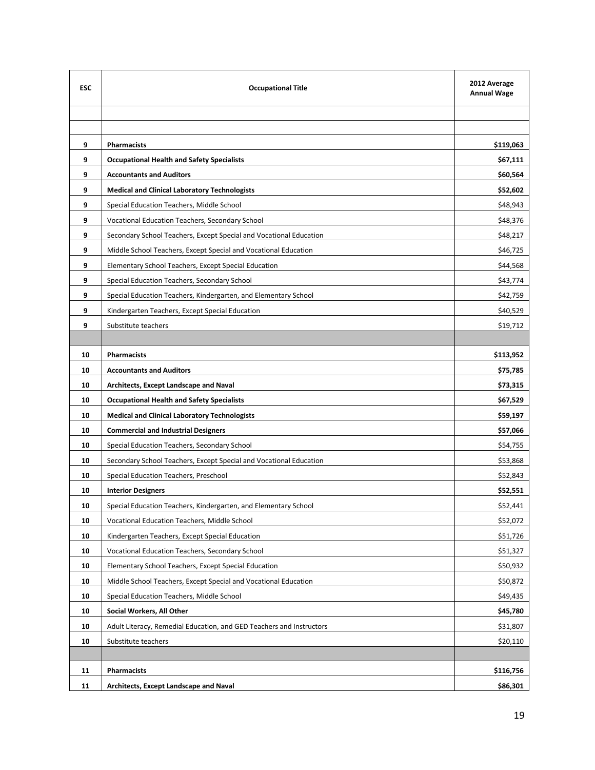| <b>ESC</b> | <b>Occupational Title</b>                                            | 2012 Average<br><b>Annual Wage</b> |
|------------|----------------------------------------------------------------------|------------------------------------|
|            |                                                                      |                                    |
|            |                                                                      |                                    |
| 9          | <b>Pharmacists</b>                                                   | \$119,063                          |
| 9          | <b>Occupational Health and Safety Specialists</b>                    | \$67,111                           |
| 9          | <b>Accountants and Auditors</b>                                      | \$60,564                           |
| 9          | <b>Medical and Clinical Laboratory Technologists</b>                 | \$52,602                           |
| 9          | Special Education Teachers, Middle School                            | \$48,943                           |
| 9          | Vocational Education Teachers, Secondary School                      | \$48,376                           |
| 9          | Secondary School Teachers, Except Special and Vocational Education   | \$48,217                           |
| 9          | Middle School Teachers, Except Special and Vocational Education      | \$46,725                           |
| 9          | Elementary School Teachers, Except Special Education                 | \$44,568                           |
| 9          | Special Education Teachers, Secondary School                         | \$43,774                           |
| 9          | Special Education Teachers, Kindergarten, and Elementary School      | \$42,759                           |
| 9          | Kindergarten Teachers, Except Special Education                      | \$40,529                           |
| 9          | Substitute teachers                                                  | \$19,712                           |
|            |                                                                      |                                    |
| 10         | <b>Pharmacists</b>                                                   | \$113,952                          |
| 10         | <b>Accountants and Auditors</b>                                      | \$75,785                           |
| 10         | Architects, Except Landscape and Naval                               | \$73,315                           |
| 10         | <b>Occupational Health and Safety Specialists</b>                    | \$67,529                           |
| 10         | <b>Medical and Clinical Laboratory Technologists</b>                 | \$59,197                           |
| 10         | <b>Commercial and Industrial Designers</b>                           | \$57,066                           |
| 10         | Special Education Teachers, Secondary School                         | \$54,755                           |
| 10         | Secondary School Teachers, Except Special and Vocational Education   | \$53,868                           |
| 10         | Special Education Teachers, Preschool                                | \$52,843                           |
| 10         | <b>Interior Designers</b>                                            | \$52,551                           |
| 10         | Special Education Teachers, Kindergarten, and Elementary School      | \$52,441                           |
| 10         | Vocational Education Teachers, Middle School                         | \$52,072                           |
| 10         | Kindergarten Teachers, Except Special Education                      | \$51,726                           |
| 10         | Vocational Education Teachers, Secondary School                      | \$51,327                           |
| 10         | Elementary School Teachers, Except Special Education                 | \$50,932                           |
| 10         | Middle School Teachers, Except Special and Vocational Education      | \$50,872                           |
| 10         | Special Education Teachers, Middle School                            | \$49,435                           |
| 10         | Social Workers, All Other                                            | \$45,780                           |
| 10         | Adult Literacy, Remedial Education, and GED Teachers and Instructors | \$31,807                           |
| 10         | Substitute teachers                                                  | \$20,110                           |
|            |                                                                      |                                    |
| 11         | <b>Pharmacists</b>                                                   | \$116,756                          |
| 11         | Architects, Except Landscape and Naval                               | \$86,301                           |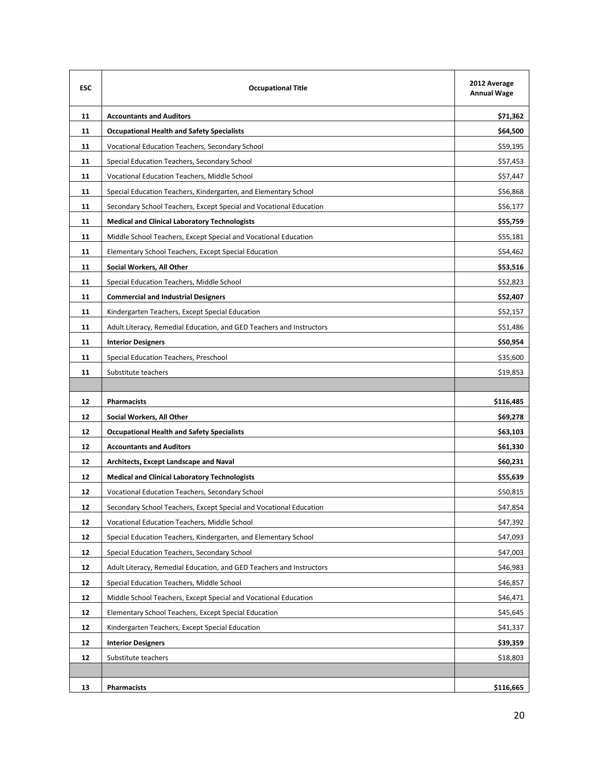| <b>ESC</b> | <b>Occupational Title</b>                                            |           |  |  |
|------------|----------------------------------------------------------------------|-----------|--|--|
| 11         | <b>Accountants and Auditors</b>                                      | \$71,362  |  |  |
| 11         | <b>Occupational Health and Safety Specialists</b>                    | \$64,500  |  |  |
| 11         | Vocational Education Teachers, Secondary School                      | \$59,195  |  |  |
| 11         | Special Education Teachers, Secondary School                         | \$57,453  |  |  |
| 11         | Vocational Education Teachers, Middle School                         | \$57,447  |  |  |
| 11         | Special Education Teachers, Kindergarten, and Elementary School      | \$56,868  |  |  |
| 11         | Secondary School Teachers, Except Special and Vocational Education   | \$56,177  |  |  |
| 11         | <b>Medical and Clinical Laboratory Technologists</b>                 | \$55,759  |  |  |
| 11         | Middle School Teachers, Except Special and Vocational Education      | \$55,181  |  |  |
| 11         | Elementary School Teachers, Except Special Education                 | \$54,462  |  |  |
| 11         | Social Workers, All Other                                            | \$53,516  |  |  |
| 11         | Special Education Teachers, Middle School                            | \$52,823  |  |  |
| 11         | <b>Commercial and Industrial Designers</b>                           | \$52,407  |  |  |
| 11         | Kindergarten Teachers, Except Special Education                      | \$52,157  |  |  |
| 11         | Adult Literacy, Remedial Education, and GED Teachers and Instructors | \$51,486  |  |  |
| 11         | <b>Interior Designers</b>                                            | \$50,954  |  |  |
| 11         | Special Education Teachers, Preschool                                | \$35,600  |  |  |
| 11         | Substitute teachers                                                  | \$19,853  |  |  |
|            |                                                                      |           |  |  |
| 12         | <b>Pharmacists</b>                                                   | \$116,485 |  |  |
| 12         | Social Workers, All Other                                            | \$69,278  |  |  |
| 12         | <b>Occupational Health and Safety Specialists</b>                    | \$63,103  |  |  |
| 12         | <b>Accountants and Auditors</b>                                      | \$61,330  |  |  |
| 12         | Architects, Except Landscape and Naval                               | \$60,231  |  |  |
| 12         | <b>Medical and Clinical Laboratory Technologists</b>                 | \$55,639  |  |  |
| 12         | Vocational Education Teachers, Secondary School                      | \$50,815  |  |  |
| 12         | Secondary School Teachers, Except Special and Vocational Education   | \$47,854  |  |  |
| 12         | Vocational Education Teachers, Middle School                         | \$47,392  |  |  |
| 12         | Special Education Teachers, Kindergarten, and Elementary School      | \$47,093  |  |  |
| 12         | Special Education Teachers, Secondary School                         | \$47,003  |  |  |
| 12         | Adult Literacy, Remedial Education, and GED Teachers and Instructors | \$46,983  |  |  |
| 12         | Special Education Teachers, Middle School                            | \$46,857  |  |  |
| 12         | Middle School Teachers, Except Special and Vocational Education      | \$46,471  |  |  |
| 12         | Elementary School Teachers, Except Special Education                 | \$45,645  |  |  |
| 12         | Kindergarten Teachers, Except Special Education                      | \$41,337  |  |  |
| 12         | <b>Interior Designers</b>                                            | \$39,359  |  |  |
| 12         | Substitute teachers                                                  | \$18,803  |  |  |
|            |                                                                      |           |  |  |
| 13         | <b>Pharmacists</b>                                                   | \$116,665 |  |  |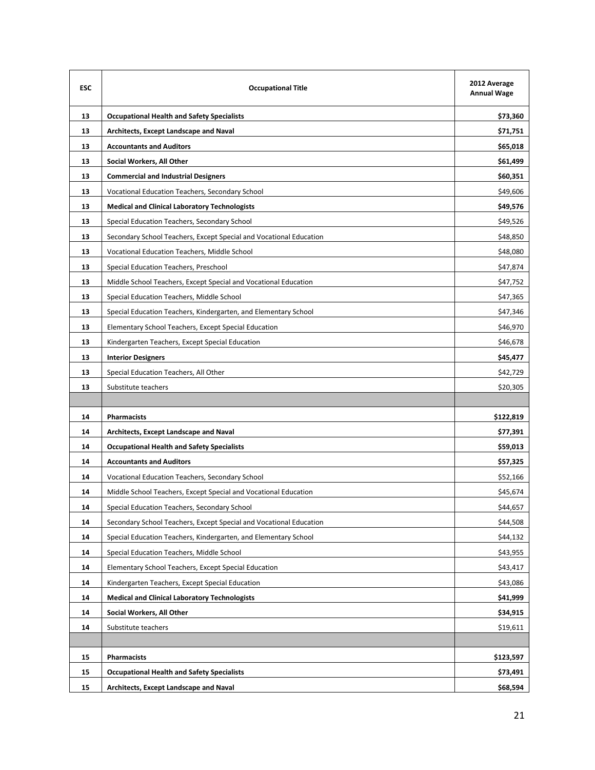| <b>ESC</b> | <b>Occupational Title</b>                                          | 2012 Average<br><b>Annual Wage</b> |
|------------|--------------------------------------------------------------------|------------------------------------|
| 13         | <b>Occupational Health and Safety Specialists</b>                  | \$73,360                           |
| 13         | <b>Architects, Except Landscape and Naval</b>                      | \$71,751                           |
| 13         | <b>Accountants and Auditors</b>                                    | \$65,018                           |
| 13         | Social Workers, All Other                                          | \$61,499                           |
| 13         | <b>Commercial and Industrial Designers</b>                         | \$60,351                           |
| 13         | Vocational Education Teachers, Secondary School                    | \$49,606                           |
| 13         | <b>Medical and Clinical Laboratory Technologists</b>               | \$49,576                           |
| 13         | Special Education Teachers, Secondary School                       | \$49,526                           |
| 13         | Secondary School Teachers, Except Special and Vocational Education | \$48,850                           |
| 13         | Vocational Education Teachers, Middle School                       | \$48,080                           |
| 13         | Special Education Teachers, Preschool                              | \$47,874                           |
| 13         | Middle School Teachers, Except Special and Vocational Education    | \$47,752                           |
| 13         | Special Education Teachers, Middle School                          | \$47,365                           |
| 13         | Special Education Teachers, Kindergarten, and Elementary School    | \$47,346                           |
| 13         | Elementary School Teachers, Except Special Education               | \$46,970                           |
| 13         | Kindergarten Teachers, Except Special Education                    | \$46,678                           |
| 13         | <b>Interior Designers</b>                                          | \$45,477                           |
| 13         | Special Education Teachers, All Other                              | \$42,729                           |
| 13         | Substitute teachers                                                | \$20,305                           |
|            |                                                                    |                                    |
| 14         | <b>Pharmacists</b>                                                 | \$122,819                          |
| 14         | Architects, Except Landscape and Naval                             | \$77,391                           |
| 14         | <b>Occupational Health and Safety Specialists</b>                  | \$59,013                           |
| 14         | <b>Accountants and Auditors</b>                                    | \$57,325                           |
| 14         | Vocational Education Teachers, Secondary School                    | \$52,166                           |
| 14         | Middle School Teachers, Except Special and Vocational Education    | \$45,674                           |
| 14         | Special Education Teachers, Secondary School                       | \$44,657                           |
| 14         | Secondary School Teachers, Except Special and Vocational Education | \$44,508                           |
| 14         | Special Education Teachers, Kindergarten, and Elementary School    | \$44,132                           |
| 14         | Special Education Teachers, Middle School                          | \$43,955                           |
| 14         | Elementary School Teachers, Except Special Education               | \$43,417                           |
| 14         | Kindergarten Teachers, Except Special Education                    | \$43,086                           |
| 14         | <b>Medical and Clinical Laboratory Technologists</b>               | \$41,999                           |
| 14         | Social Workers, All Other                                          | \$34,915                           |
| 14         | Substitute teachers                                                | \$19,611                           |
|            |                                                                    |                                    |
| 15         | <b>Pharmacists</b>                                                 | \$123,597                          |
| 15         | <b>Occupational Health and Safety Specialists</b>                  | \$73,491                           |
| 15         | Architects, Except Landscape and Naval                             | \$68,594                           |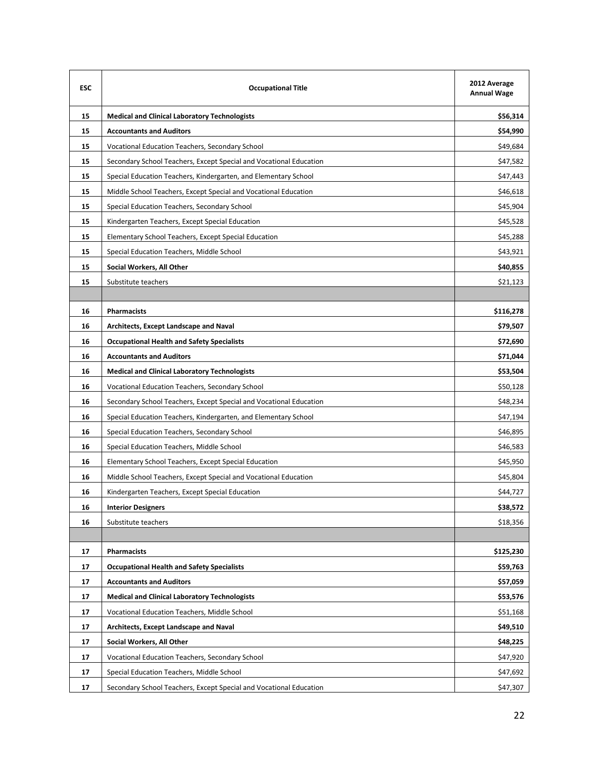| <b>FSC</b> | <b>Occupational Title</b>                                          | 2012 Average<br><b>Annual Wage</b> |
|------------|--------------------------------------------------------------------|------------------------------------|
| 15         | <b>Medical and Clinical Laboratory Technologists</b>               | \$56,314                           |
| 15         | <b>Accountants and Auditors</b>                                    | \$54,990                           |
| 15         | Vocational Education Teachers, Secondary School                    | \$49,684                           |
| 15         | Secondary School Teachers, Except Special and Vocational Education | \$47,582                           |
| 15         | Special Education Teachers, Kindergarten, and Elementary School    | \$47,443                           |
| 15         | Middle School Teachers, Except Special and Vocational Education    | \$46,618                           |
| 15         | Special Education Teachers, Secondary School                       | \$45,904                           |
| 15         | Kindergarten Teachers, Except Special Education                    | \$45,528                           |
| 15         | Elementary School Teachers, Except Special Education               | \$45,288                           |
| 15         | Special Education Teachers, Middle School                          | \$43,921                           |
| 15         | Social Workers, All Other                                          | \$40,855                           |
| 15         | Substitute teachers                                                | \$21,123                           |
|            |                                                                    |                                    |
| 16         | <b>Pharmacists</b>                                                 | \$116,278                          |
| 16         | Architects, Except Landscape and Naval                             | \$79,507                           |
| 16         | <b>Occupational Health and Safety Specialists</b>                  | \$72,690                           |
| 16         | <b>Accountants and Auditors</b>                                    | \$71,044                           |
| 16         | <b>Medical and Clinical Laboratory Technologists</b>               | \$53,504                           |
| 16         | Vocational Education Teachers, Secondary School                    | \$50,128                           |
| 16         | Secondary School Teachers, Except Special and Vocational Education | \$48,234                           |
| 16         | Special Education Teachers, Kindergarten, and Elementary School    | \$47,194                           |
| 16         | Special Education Teachers, Secondary School                       | \$46,895                           |
| 16         | Special Education Teachers, Middle School                          | \$46,583                           |
| 16         | Elementary School Teachers, Except Special Education               | \$45,950                           |
| 16         | Middle School Teachers, Except Special and Vocational Education    | \$45,804                           |
| 16         | Kindergarten Teachers, Except Special Education                    | \$44,727                           |
| 16         | <b>Interior Designers</b>                                          | \$38,572                           |
| 16         | Substitute teachers                                                | \$18,356                           |
|            |                                                                    |                                    |
| 17         | <b>Pharmacists</b>                                                 | \$125,230                          |
| 17         | <b>Occupational Health and Safety Specialists</b>                  | \$59,763                           |
| 17         | <b>Accountants and Auditors</b>                                    | \$57,059                           |
| 17         | <b>Medical and Clinical Laboratory Technologists</b>               | \$53,576                           |
| 17         | Vocational Education Teachers, Middle School                       | \$51,168                           |
| 17         | <b>Architects, Except Landscape and Naval</b>                      | \$49,510                           |
| 17         | Social Workers, All Other                                          | \$48,225                           |
| 17         | Vocational Education Teachers, Secondary School                    | \$47,920                           |
| 17         | Special Education Teachers, Middle School                          | \$47,692                           |
| 17         | Secondary School Teachers, Except Special and Vocational Education | \$47,307                           |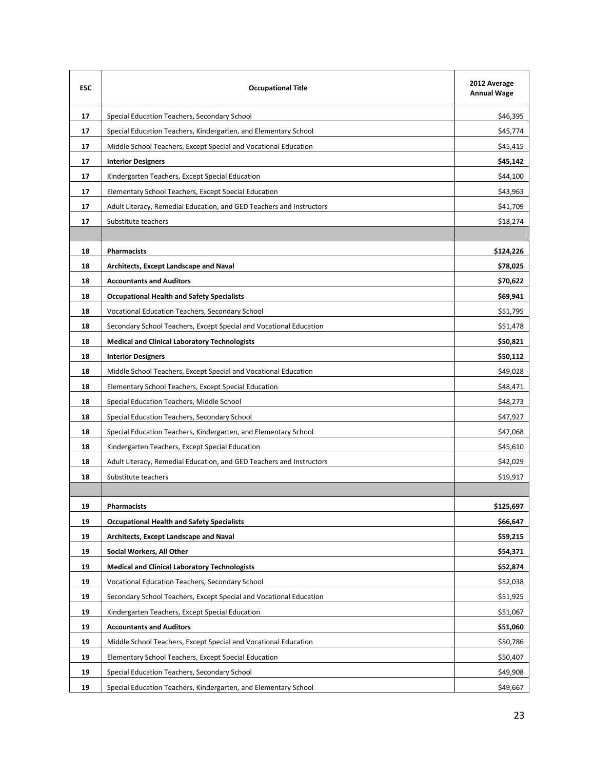| <b>ESC</b> | <b>Occupational Title</b>                                            | 2012 Average<br><b>Annual Wage</b> |
|------------|----------------------------------------------------------------------|------------------------------------|
| 17         | Special Education Teachers, Secondary School                         | \$46,395                           |
| 17         | Special Education Teachers, Kindergarten, and Elementary School      | \$45,774                           |
| 17         | Middle School Teachers, Except Special and Vocational Education      | \$45,415                           |
| 17         | <b>Interior Designers</b>                                            | \$45,142                           |
| 17         | Kindergarten Teachers, Except Special Education                      | \$44,100                           |
| 17         | Elementary School Teachers, Except Special Education                 | \$43,963                           |
| 17         | Adult Literacy, Remedial Education, and GED Teachers and Instructors | \$41,709                           |
| 17         | Substitute teachers                                                  | \$18,274                           |
|            |                                                                      |                                    |
| 18         | <b>Pharmacists</b>                                                   | \$124,226                          |
| 18         | Architects, Except Landscape and Naval                               | \$78,025                           |
| 18         | <b>Accountants and Auditors</b>                                      | \$70,622                           |
| 18         | <b>Occupational Health and Safety Specialists</b>                    | \$69,941                           |
| 18         | Vocational Education Teachers, Secondary School                      | \$51,795                           |
| 18         | Secondary School Teachers, Except Special and Vocational Education   | \$51,478                           |
| 18         | <b>Medical and Clinical Laboratory Technologists</b>                 | \$50,821                           |
| 18         | <b>Interior Designers</b>                                            | \$50,112                           |
| 18         | Middle School Teachers, Except Special and Vocational Education      | \$49,028                           |
| 18         | Elementary School Teachers, Except Special Education                 | \$48,471                           |
| 18         | Special Education Teachers, Middle School                            | \$48,273                           |
| 18         | Special Education Teachers, Secondary School                         | \$47,927                           |
| 18         | Special Education Teachers, Kindergarten, and Elementary School      | \$47,068                           |
| 18         | Kindergarten Teachers, Except Special Education                      | \$45,610                           |
| 18         | Adult Literacy, Remedial Education, and GED Teachers and Instructors | \$42,029                           |
| 18         | Substitute teachers                                                  | \$19,917                           |
|            |                                                                      |                                    |
| 19         | <b>Pharmacists</b>                                                   | \$125,697                          |
| 19         | <b>Occupational Health and Safety Specialists</b>                    | \$66,647                           |
| 19         | Architects, Except Landscape and Naval                               | \$59,215                           |
| 19         | Social Workers, All Other                                            | \$54,371                           |
| 19         | <b>Medical and Clinical Laboratory Technologists</b>                 | \$52,874                           |
| 19         | Vocational Education Teachers, Secondary School                      | \$52,038                           |
| 19         | Secondary School Teachers, Except Special and Vocational Education   | \$51,925                           |
| 19         | Kindergarten Teachers, Except Special Education                      | \$51,067                           |
| 19         | <b>Accountants and Auditors</b>                                      | \$51,060                           |
| 19         | Middle School Teachers, Except Special and Vocational Education      | \$50,786                           |
| 19         | Elementary School Teachers, Except Special Education                 | \$50,407                           |
| 19         | Special Education Teachers, Secondary School                         | \$49,908                           |
| 19         | Special Education Teachers, Kindergarten, and Elementary School      | \$49,667                           |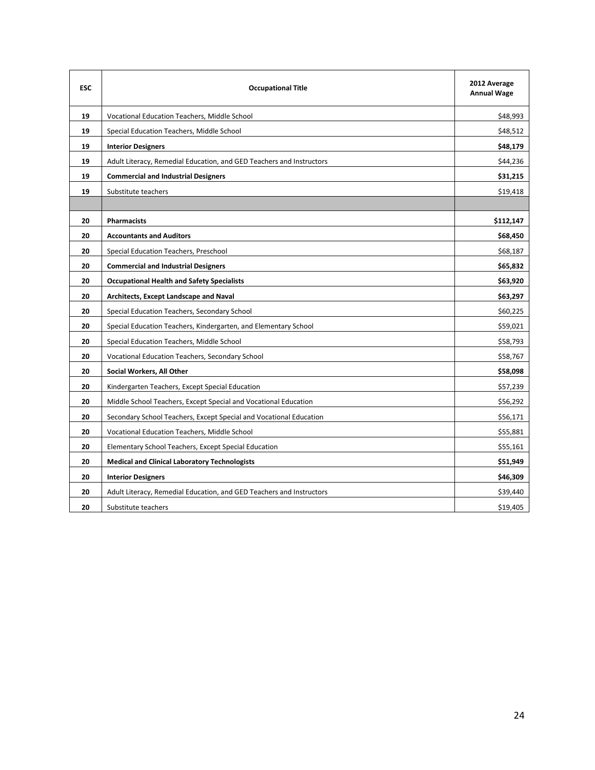| <b>ESC</b> | <b>Occupational Title</b>                                            | 2012 Average<br><b>Annual Wage</b> |
|------------|----------------------------------------------------------------------|------------------------------------|
| 19         | Vocational Education Teachers, Middle School                         | \$48,993                           |
| 19         | Special Education Teachers, Middle School                            | \$48,512                           |
| 19         | <b>Interior Designers</b>                                            | \$48,179                           |
| 19         | Adult Literacy, Remedial Education, and GED Teachers and Instructors | \$44,236                           |
| 19         | <b>Commercial and Industrial Designers</b>                           | \$31,215                           |
| 19         | Substitute teachers                                                  | \$19,418                           |
|            |                                                                      |                                    |
| 20         | <b>Pharmacists</b>                                                   | \$112,147                          |
| 20         | <b>Accountants and Auditors</b>                                      | \$68,450                           |
| 20         | Special Education Teachers, Preschool                                | \$68,187                           |
| 20         | <b>Commercial and Industrial Designers</b>                           | \$65,832                           |
| 20         | <b>Occupational Health and Safety Specialists</b>                    | \$63,920                           |
| 20         | Architects, Except Landscape and Naval                               | \$63,297                           |
| 20         | Special Education Teachers, Secondary School                         | \$60,225                           |
| 20         | Special Education Teachers, Kindergarten, and Elementary School      | \$59,021                           |
| 20         | Special Education Teachers, Middle School                            | \$58,793                           |
| 20         | Vocational Education Teachers, Secondary School                      | \$58,767                           |
| 20         | Social Workers, All Other                                            | \$58,098                           |
| 20         | Kindergarten Teachers, Except Special Education                      | \$57,239                           |
| 20         | Middle School Teachers, Except Special and Vocational Education      | \$56,292                           |
| 20         | Secondary School Teachers, Except Special and Vocational Education   | \$56,171                           |
| 20         | Vocational Education Teachers, Middle School                         | \$55,881                           |
| 20         | Elementary School Teachers, Except Special Education                 | \$55,161                           |
| 20         | <b>Medical and Clinical Laboratory Technologists</b>                 | \$51,949                           |
| 20         | <b>Interior Designers</b>                                            | \$46,309                           |
| 20         | Adult Literacy, Remedial Education, and GED Teachers and Instructors | \$39,440                           |
| 20         | Substitute teachers                                                  | \$19,405                           |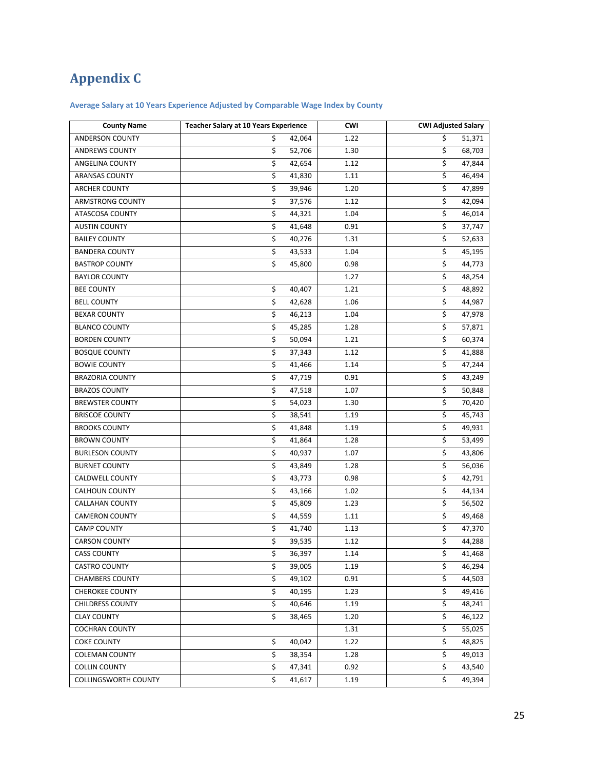# **Appendix C**

## **Average Salary at 10 Years Experience Adjusted by Comparable Wage Index by County**

| <b>County Name</b>          | <b>Teacher Salary at 10 Years Experience</b> |        | <b>CWI</b> | <b>CWI Adjusted Salary</b> |        |
|-----------------------------|----------------------------------------------|--------|------------|----------------------------|--------|
| ANDERSON COUNTY             | \$                                           | 42,064 | 1.22       | \$                         | 51,371 |
| <b>ANDREWS COUNTY</b>       | \$                                           | 52,706 | 1.30       | \$                         | 68,703 |
| ANGELINA COUNTY             | \$                                           | 42,654 | 1.12       | \$                         | 47,844 |
| <b>ARANSAS COUNTY</b>       | \$                                           | 41,830 | 1.11       | \$                         | 46,494 |
| ARCHER COUNTY               | \$                                           | 39,946 | 1.20       | \$                         | 47,899 |
| ARMSTRONG COUNTY            | \$                                           | 37,576 | 1.12       | \$                         | 42,094 |
| ATASCOSA COUNTY             | \$                                           | 44,321 | 1.04       | \$                         | 46,014 |
| <b>AUSTIN COUNTY</b>        | \$                                           | 41,648 | 0.91       | \$                         | 37,747 |
| <b>BAILEY COUNTY</b>        | \$                                           | 40,276 | 1.31       | \$                         | 52,633 |
| <b>BANDERA COUNTY</b>       | $\overline{\mathsf{S}}$                      | 43,533 | 1.04       | \$                         | 45,195 |
| <b>BASTROP COUNTY</b>       | \$                                           | 45,800 | 0.98       | \$                         | 44,773 |
| <b>BAYLOR COUNTY</b>        |                                              |        | 1.27       | \$                         | 48,254 |
| <b>BEE COUNTY</b>           | \$                                           | 40,407 | 1.21       | \$                         | 48,892 |
| <b>BELL COUNTY</b>          | \$                                           | 42,628 | 1.06       | \$                         | 44,987 |
| <b>BEXAR COUNTY</b>         | \$                                           | 46,213 | 1.04       | \$                         | 47,978 |
| <b>BLANCO COUNTY</b>        | \$                                           | 45,285 | 1.28       | \$                         | 57,871 |
| <b>BORDEN COUNTY</b>        | \$                                           | 50,094 | 1.21       | \$                         | 60,374 |
| <b>BOSQUE COUNTY</b>        | \$                                           | 37,343 | 1.12       | \$                         | 41,888 |
| <b>BOWIE COUNTY</b>         | \$                                           | 41,466 | 1.14       | \$                         | 47,244 |
| <b>BRAZORIA COUNTY</b>      | \$                                           | 47,719 | 0.91       | \$                         | 43,249 |
| <b>BRAZOS COUNTY</b>        | \$                                           | 47,518 | 1.07       | \$                         | 50,848 |
| <b>BREWSTER COUNTY</b>      | \$                                           | 54,023 | 1.30       | \$                         | 70,420 |
| <b>BRISCOE COUNTY</b>       | \$                                           | 38,541 | 1.19       | \$                         | 45,743 |
| <b>BROOKS COUNTY</b>        | \$                                           | 41,848 | 1.19       | \$                         | 49,931 |
| <b>BROWN COUNTY</b>         | \$                                           | 41,864 | 1.28       | \$                         | 53,499 |
| <b>BURLESON COUNTY</b>      | \$                                           | 40,937 | 1.07       | \$                         | 43,806 |
| <b>BURNET COUNTY</b>        | \$                                           | 43,849 | 1.28       | \$                         | 56,036 |
| CALDWELL COUNTY             | \$                                           | 43,773 | 0.98       | \$                         | 42,791 |
| CALHOUN COUNTY              | \$                                           | 43,166 | 1.02       | \$                         | 44,134 |
| <b>CALLAHAN COUNTY</b>      | \$                                           | 45,809 | 1.23       | \$                         | 56,502 |
| <b>CAMERON COUNTY</b>       | \$                                           | 44,559 | 1.11       | \$                         | 49,468 |
| <b>CAMP COUNTY</b>          | \$                                           | 41,740 | 1.13       | \$                         | 47,370 |
| <b>CARSON COUNTY</b>        | \$                                           | 39,535 | 1.12       | \$                         | 44,288 |
| <b>CASS COUNTY</b>          | \$                                           | 36,397 | 1.14       | \$                         | 41,468 |
| CASTRO COUNTY               | \$                                           | 39,005 | 1.19       | \$                         | 46,294 |
| <b>CHAMBERS COUNTY</b>      | \$                                           | 49,102 | 0.91       | \$                         | 44,503 |
| <b>CHEROKEE COUNTY</b>      | \$                                           | 40,195 | 1.23       | \$                         | 49,416 |
| <b>CHILDRESS COUNTY</b>     | \$                                           | 40,646 | 1.19       | \$                         | 48,241 |
| <b>CLAY COUNTY</b>          | \$                                           | 38,465 | 1.20       | \$                         | 46,122 |
| <b>COCHRAN COUNTY</b>       |                                              |        | 1.31       | \$                         | 55,025 |
| <b>COKE COUNTY</b>          | \$                                           | 40,042 | 1.22       | \$                         | 48,825 |
| <b>COLEMAN COUNTY</b>       | \$                                           | 38,354 | 1.28       | \$                         | 49,013 |
| <b>COLLIN COUNTY</b>        | \$                                           | 47,341 | 0.92       | \$                         | 43,540 |
| <b>COLLINGSWORTH COUNTY</b> | \$                                           | 41,617 | 1.19       | \$                         | 49,394 |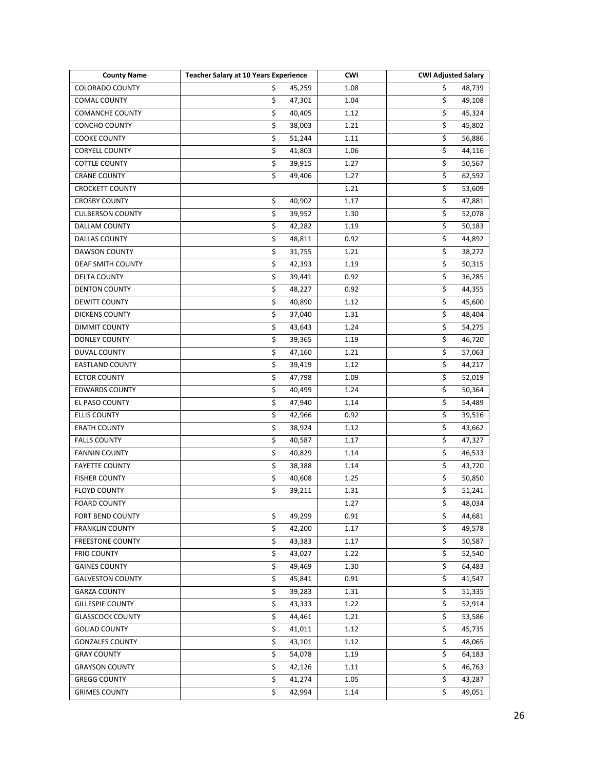| <b>County Name</b>       | <b>Teacher Salary at 10 Years Experience</b> | <b>CWI</b> | <b>CWI Adjusted Salary</b>        |
|--------------------------|----------------------------------------------|------------|-----------------------------------|
| <b>COLORADO COUNTY</b>   | \$<br>45,259                                 | 1.08       | \$<br>48,739                      |
| <b>COMAL COUNTY</b>      | \$<br>47,301                                 | 1.04       | \$<br>49,108                      |
| <b>COMANCHE COUNTY</b>   | \$<br>40,405                                 | 1.12       | \$<br>45,324                      |
| CONCHO COUNTY            | \$<br>38,003                                 | 1.21       | \$<br>45,802                      |
| <b>COOKE COUNTY</b>      | \$<br>51,244                                 | 1.11       | \$<br>56,886                      |
| <b>CORYELL COUNTY</b>    | \$<br>41,803                                 | 1.06       | \$<br>44,116                      |
| <b>COTTLE COUNTY</b>     | \$<br>39,915                                 | 1.27       | \$<br>50,567                      |
| <b>CRANE COUNTY</b>      | $\overline{\mathsf{S}}$<br>49,406            | 1.27       | \$<br>62,592                      |
| <b>CROCKETT COUNTY</b>   |                                              | 1.21       | \$<br>53,609                      |
| <b>CROSBY COUNTY</b>     | \$<br>40,902                                 | 1.17       | \$<br>47,881                      |
| <b>CULBERSON COUNTY</b>  | \$<br>39,952                                 | 1.30       | \$<br>52,078                      |
| <b>DALLAM COUNTY</b>     | \$<br>42,282                                 | 1.19       | \$<br>50,183                      |
| DALLAS COUNTY            | \$<br>48,811                                 | 0.92       | \$<br>44,892                      |
| <b>DAWSON COUNTY</b>     | \$<br>31,755                                 | 1.21       | \$<br>38,272                      |
| <b>DEAF SMITH COUNTY</b> | \$<br>42,393                                 | 1.19       | \$<br>50,315                      |
| <b>DELTA COUNTY</b>      | \$<br>39,441                                 | 0.92       | \$<br>36,285                      |
| <b>DENTON COUNTY</b>     | \$<br>48,227                                 | 0.92       | \$<br>44,355                      |
| <b>DEWITT COUNTY</b>     | \$<br>40,890                                 | 1.12       | \$<br>45,600                      |
| <b>DICKENS COUNTY</b>    | \$<br>37,040                                 | 1.31       | $\overline{\mathsf{S}}$<br>48,404 |
| <b>DIMMIT COUNTY</b>     | $\overline{\mathsf{S}}$<br>43,643            | 1.24       | $\overline{\mathsf{S}}$<br>54,275 |
| DONLEY COUNTY            | \$<br>39,365                                 | 1.19       | \$<br>46,720                      |
| DUVAL COUNTY             | \$<br>47,160                                 | 1.21       | \$<br>57,063                      |
| <b>EASTLAND COUNTY</b>   | \$<br>39,419                                 | 1.12       | $\overline{\mathsf{S}}$<br>44,217 |
| <b>ECTOR COUNTY</b>      | $\overline{\mathsf{S}}$<br>47,798            | 1.09       | \$<br>52,019                      |
| <b>EDWARDS COUNTY</b>    | \$<br>40,499                                 | 1.24       | \$<br>50,364                      |
| EL PASO COUNTY           | \$<br>47,940                                 | 1.14       | \$<br>54,489                      |
| <b>ELLIS COUNTY</b>      | \$<br>42,966                                 | 0.92       | \$<br>39,516                      |
| <b>ERATH COUNTY</b>      | \$<br>38,924                                 | 1.12       | \$<br>43,662                      |
| <b>FALLS COUNTY</b>      | \$<br>40,587                                 | 1.17       | \$<br>47,327                      |
| <b>FANNIN COUNTY</b>     | \$<br>40,829                                 | 1.14       | \$<br>46,533                      |
| <b>FAYETTE COUNTY</b>    | \$<br>38,388                                 | 1.14       | \$<br>43,720                      |
| <b>FISHER COUNTY</b>     | \$<br>40,608                                 | 1.25       | \$<br>50,850                      |
| <b>FLOYD COUNTY</b>      | \$<br>39,211                                 | 1.31       | \$<br>51,241                      |
| <b>FOARD COUNTY</b>      |                                              | 1.27       | \$<br>48,034                      |
| FORT BEND COUNTY         | \$<br>49,299                                 | 0.91       | \$<br>44,681                      |
| <b>FRANKLIN COUNTY</b>   | \$<br>42,200                                 | 1.17       | \$<br>49,578                      |
| <b>FREESTONE COUNTY</b>  | \$<br>43,383                                 | 1.17       | \$<br>50,587                      |
| <b>FRIO COUNTY</b>       | \$<br>43,027                                 | 1.22       | \$<br>52,540                      |
| <b>GAINES COUNTY</b>     | \$<br>49,469                                 | 1.30       | \$<br>64,483                      |
| <b>GALVESTON COUNTY</b>  | \$<br>45,841                                 | 0.91       | \$<br>41,547                      |
| <b>GARZA COUNTY</b>      | \$<br>39,283                                 | 1.31       | \$<br>51,335                      |
| <b>GILLESPIE COUNTY</b>  | \$<br>43,333                                 | 1.22       | $\overline{\mathsf{S}}$<br>52,914 |
| <b>GLASSCOCK COUNTY</b>  | \$<br>44,461                                 | 1.21       | \$<br>53,586                      |
| <b>GOLIAD COUNTY</b>     | \$<br>41,011                                 | 1.12       | \$                                |
|                          | \$                                           |            | 45,735<br>\$                      |
| <b>GONZALES COUNTY</b>   | 43,101                                       | 1.12       | 48,065                            |
| <b>GRAY COUNTY</b>       | \$<br>54,078                                 | 1.19       | \$<br>64,183                      |
| <b>GRAYSON COUNTY</b>    | \$<br>42,126                                 | 1.11       | \$<br>46,763                      |
| <b>GREGG COUNTY</b>      | \$<br>41,274                                 | 1.05       | \$<br>43,287                      |
| <b>GRIMES COUNTY</b>     | \$<br>42,994                                 | 1.14       | \$<br>49,051                      |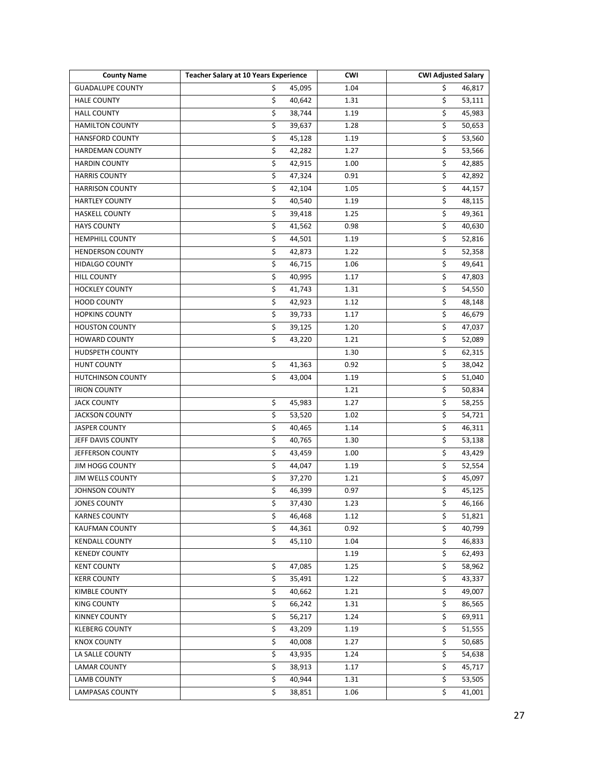| \$<br>\$<br><b>GUADALUPE COUNTY</b><br>45,095<br>1.04<br>46,817<br>\$<br>1.31<br>\$<br><b>HALE COUNTY</b><br>40,642<br>53,111<br>\$<br>\$<br>45,983<br><b>HALL COUNTY</b><br>38,744<br>1.19<br>\$<br>\$<br><b>HAMILTON COUNTY</b><br>1.28<br>39,637<br>50,653<br>\$<br>\$<br><b>HANSFORD COUNTY</b><br>1.19<br>45,128<br>53,560<br>\$<br>\$<br><b>HARDEMAN COUNTY</b><br>1.27<br>53,566<br>42,282<br>\$<br>\$<br><b>HARDIN COUNTY</b><br>42,915<br>1.00<br>42,885<br>\$<br>\$<br><b>HARRIS COUNTY</b><br>47,324<br>0.91<br>42,892<br>\$<br>\$<br><b>HARRISON COUNTY</b><br>42,104<br>1.05<br>44,157<br>\$<br>\$<br><b>HARTLEY COUNTY</b><br>40,540<br>1.19<br>48,115<br>\$<br>\$<br><b>HASKELL COUNTY</b><br>1.25<br>39,418<br>49,361<br>\$<br>\$<br><b>HAYS COUNTY</b><br>0.98<br>41,562<br>40,630<br>\$<br>\$<br><b>HEMPHILL COUNTY</b><br>44,501<br>1.19<br>52,816<br>\$<br>\$<br>1.22<br><b>HENDERSON COUNTY</b><br>42,873<br>52,358<br>\$<br>46,715<br>\$<br><b>HIDALGO COUNTY</b><br>1.06<br>49,641<br>\$<br>\$<br>1.17<br><b>HILL COUNTY</b><br>40,995<br>47,803<br>\$<br>\$<br><b>HOCKLEY COUNTY</b><br>41,743<br>1.31<br>54,550<br>\$<br>\$<br><b>HOOD COUNTY</b><br>42,923<br>1.12<br>48,148<br>\$<br>\$<br><b>HOPKINS COUNTY</b><br>39,733<br>1.17<br>46,679<br>\$<br>$\overline{\mathsf{S}}$<br><b>HOUSTON COUNTY</b><br>39,125<br>1.20<br>47,037<br>\$<br>\$<br><b>HOWARD COUNTY</b><br>1.21<br>52,089<br>43,220<br>\$<br>HUDSPETH COUNTY<br>1.30<br>62,315<br>$\overline{\mathsf{S}}$<br>\$<br><b>HUNT COUNTY</b><br>0.92<br>38,042<br>41,363<br>\$<br>\$<br>HUTCHINSON COUNTY<br>1.19<br>43,004<br>51,040<br>\$<br><b>IRION COUNTY</b><br>1.21<br>50,834<br>\$<br>\$<br><b>JACK COUNTY</b><br>45,983<br>1.27<br>58,255<br>\$<br>\$<br><b>JACKSON COUNTY</b><br>53,520<br>1.02<br>54,721<br>\$<br>\$<br>46,311<br><b>JASPER COUNTY</b><br>40,465<br>1.14<br>\$<br>\$<br>JEFF DAVIS COUNTY<br>40,765<br>1.30<br>53,138<br>\$<br>\$<br>JEFFERSON COUNTY<br>43,459<br>1.00<br>43,429<br>\$<br>\$<br><b>JIM HOGG COUNTY</b><br>44,047<br>1.19<br>52,554<br>\$<br>\$<br>JIM WELLS COUNTY<br>1.21<br>37,270<br>45,097<br>\$<br>\$<br>JOHNSON COUNTY<br>46,399<br>0.97<br>45,125<br>\$<br>\$<br><b>JONES COUNTY</b><br>37,430<br>1.23<br>46,166<br>\$<br>\$<br><b>KARNES COUNTY</b><br>46,468<br>1.12<br>51,821<br>\$<br>\$<br>0.92<br><b>KAUFMAN COUNTY</b><br>44,361<br>40,799<br>\$<br>\$<br><b>KENDALL COUNTY</b><br>1.04<br>45,110<br>46,833<br>\$<br><b>KENEDY COUNTY</b><br>1.19<br>62,493<br>\$<br><b>KENT COUNTY</b><br>\$<br>47,085<br>1.25<br>58,962<br><b>KERR COUNTY</b><br>\$<br>\$<br>35,491<br>1.22<br>43,337<br>\$<br>\$<br>KIMBLE COUNTY<br>40,662<br>1.21<br>49,007<br>$\overline{\mathsf{S}}$<br>\$<br><b>KING COUNTY</b><br>66,242<br>1.31<br>86,565<br>\$<br>\$<br>KINNEY COUNTY<br>56,217<br>1.24<br>69,911<br>\$<br>\$<br><b>KLEBERG COUNTY</b><br>1.19<br>51,555<br>43,209<br>\$<br>\$<br><b>KNOX COUNTY</b><br>40,008<br>1.27<br>50,685<br>\$<br>\$<br>LA SALLE COUNTY<br>43,935<br>1.24<br>54,638<br>\$<br>LAMAR COUNTY<br>1.17<br>\$<br>45,717<br>38,913<br>\$<br>\$<br><b>LAMB COUNTY</b><br>40,944<br>1.31<br>53,505<br>\$<br>Ś.<br>1.06<br>LAMPASAS COUNTY<br>38,851<br>41,001 | <b>County Name</b> | <b>Teacher Salary at 10 Years Experience</b> | <b>CWI</b> | <b>CWI Adjusted Salary</b> |
|----------------------------------------------------------------------------------------------------------------------------------------------------------------------------------------------------------------------------------------------------------------------------------------------------------------------------------------------------------------------------------------------------------------------------------------------------------------------------------------------------------------------------------------------------------------------------------------------------------------------------------------------------------------------------------------------------------------------------------------------------------------------------------------------------------------------------------------------------------------------------------------------------------------------------------------------------------------------------------------------------------------------------------------------------------------------------------------------------------------------------------------------------------------------------------------------------------------------------------------------------------------------------------------------------------------------------------------------------------------------------------------------------------------------------------------------------------------------------------------------------------------------------------------------------------------------------------------------------------------------------------------------------------------------------------------------------------------------------------------------------------------------------------------------------------------------------------------------------------------------------------------------------------------------------------------------------------------------------------------------------------------------------------------------------------------------------------------------------------------------------------------------------------------------------------------------------------------------------------------------------------------------------------------------------------------------------------------------------------------------------------------------------------------------------------------------------------------------------------------------------------------------------------------------------------------------------------------------------------------------------------------------------------------------------------------------------------------------------------------------------------------------------------------------------------------------------------------------------------------------------------------------------------------------------------------------------------------------------------------------------------------------------------------------------------------------------------------------------------------------------------------------------------------------------------------------------------------------|--------------------|----------------------------------------------|------------|----------------------------|
|                                                                                                                                                                                                                                                                                                                                                                                                                                                                                                                                                                                                                                                                                                                                                                                                                                                                                                                                                                                                                                                                                                                                                                                                                                                                                                                                                                                                                                                                                                                                                                                                                                                                                                                                                                                                                                                                                                                                                                                                                                                                                                                                                                                                                                                                                                                                                                                                                                                                                                                                                                                                                                                                                                                                                                                                                                                                                                                                                                                                                                                                                                                                                                                                                      |                    |                                              |            |                            |
|                                                                                                                                                                                                                                                                                                                                                                                                                                                                                                                                                                                                                                                                                                                                                                                                                                                                                                                                                                                                                                                                                                                                                                                                                                                                                                                                                                                                                                                                                                                                                                                                                                                                                                                                                                                                                                                                                                                                                                                                                                                                                                                                                                                                                                                                                                                                                                                                                                                                                                                                                                                                                                                                                                                                                                                                                                                                                                                                                                                                                                                                                                                                                                                                                      |                    |                                              |            |                            |
|                                                                                                                                                                                                                                                                                                                                                                                                                                                                                                                                                                                                                                                                                                                                                                                                                                                                                                                                                                                                                                                                                                                                                                                                                                                                                                                                                                                                                                                                                                                                                                                                                                                                                                                                                                                                                                                                                                                                                                                                                                                                                                                                                                                                                                                                                                                                                                                                                                                                                                                                                                                                                                                                                                                                                                                                                                                                                                                                                                                                                                                                                                                                                                                                                      |                    |                                              |            |                            |
|                                                                                                                                                                                                                                                                                                                                                                                                                                                                                                                                                                                                                                                                                                                                                                                                                                                                                                                                                                                                                                                                                                                                                                                                                                                                                                                                                                                                                                                                                                                                                                                                                                                                                                                                                                                                                                                                                                                                                                                                                                                                                                                                                                                                                                                                                                                                                                                                                                                                                                                                                                                                                                                                                                                                                                                                                                                                                                                                                                                                                                                                                                                                                                                                                      |                    |                                              |            |                            |
|                                                                                                                                                                                                                                                                                                                                                                                                                                                                                                                                                                                                                                                                                                                                                                                                                                                                                                                                                                                                                                                                                                                                                                                                                                                                                                                                                                                                                                                                                                                                                                                                                                                                                                                                                                                                                                                                                                                                                                                                                                                                                                                                                                                                                                                                                                                                                                                                                                                                                                                                                                                                                                                                                                                                                                                                                                                                                                                                                                                                                                                                                                                                                                                                                      |                    |                                              |            |                            |
|                                                                                                                                                                                                                                                                                                                                                                                                                                                                                                                                                                                                                                                                                                                                                                                                                                                                                                                                                                                                                                                                                                                                                                                                                                                                                                                                                                                                                                                                                                                                                                                                                                                                                                                                                                                                                                                                                                                                                                                                                                                                                                                                                                                                                                                                                                                                                                                                                                                                                                                                                                                                                                                                                                                                                                                                                                                                                                                                                                                                                                                                                                                                                                                                                      |                    |                                              |            |                            |
|                                                                                                                                                                                                                                                                                                                                                                                                                                                                                                                                                                                                                                                                                                                                                                                                                                                                                                                                                                                                                                                                                                                                                                                                                                                                                                                                                                                                                                                                                                                                                                                                                                                                                                                                                                                                                                                                                                                                                                                                                                                                                                                                                                                                                                                                                                                                                                                                                                                                                                                                                                                                                                                                                                                                                                                                                                                                                                                                                                                                                                                                                                                                                                                                                      |                    |                                              |            |                            |
|                                                                                                                                                                                                                                                                                                                                                                                                                                                                                                                                                                                                                                                                                                                                                                                                                                                                                                                                                                                                                                                                                                                                                                                                                                                                                                                                                                                                                                                                                                                                                                                                                                                                                                                                                                                                                                                                                                                                                                                                                                                                                                                                                                                                                                                                                                                                                                                                                                                                                                                                                                                                                                                                                                                                                                                                                                                                                                                                                                                                                                                                                                                                                                                                                      |                    |                                              |            |                            |
|                                                                                                                                                                                                                                                                                                                                                                                                                                                                                                                                                                                                                                                                                                                                                                                                                                                                                                                                                                                                                                                                                                                                                                                                                                                                                                                                                                                                                                                                                                                                                                                                                                                                                                                                                                                                                                                                                                                                                                                                                                                                                                                                                                                                                                                                                                                                                                                                                                                                                                                                                                                                                                                                                                                                                                                                                                                                                                                                                                                                                                                                                                                                                                                                                      |                    |                                              |            |                            |
|                                                                                                                                                                                                                                                                                                                                                                                                                                                                                                                                                                                                                                                                                                                                                                                                                                                                                                                                                                                                                                                                                                                                                                                                                                                                                                                                                                                                                                                                                                                                                                                                                                                                                                                                                                                                                                                                                                                                                                                                                                                                                                                                                                                                                                                                                                                                                                                                                                                                                                                                                                                                                                                                                                                                                                                                                                                                                                                                                                                                                                                                                                                                                                                                                      |                    |                                              |            |                            |
|                                                                                                                                                                                                                                                                                                                                                                                                                                                                                                                                                                                                                                                                                                                                                                                                                                                                                                                                                                                                                                                                                                                                                                                                                                                                                                                                                                                                                                                                                                                                                                                                                                                                                                                                                                                                                                                                                                                                                                                                                                                                                                                                                                                                                                                                                                                                                                                                                                                                                                                                                                                                                                                                                                                                                                                                                                                                                                                                                                                                                                                                                                                                                                                                                      |                    |                                              |            |                            |
|                                                                                                                                                                                                                                                                                                                                                                                                                                                                                                                                                                                                                                                                                                                                                                                                                                                                                                                                                                                                                                                                                                                                                                                                                                                                                                                                                                                                                                                                                                                                                                                                                                                                                                                                                                                                                                                                                                                                                                                                                                                                                                                                                                                                                                                                                                                                                                                                                                                                                                                                                                                                                                                                                                                                                                                                                                                                                                                                                                                                                                                                                                                                                                                                                      |                    |                                              |            |                            |
|                                                                                                                                                                                                                                                                                                                                                                                                                                                                                                                                                                                                                                                                                                                                                                                                                                                                                                                                                                                                                                                                                                                                                                                                                                                                                                                                                                                                                                                                                                                                                                                                                                                                                                                                                                                                                                                                                                                                                                                                                                                                                                                                                                                                                                                                                                                                                                                                                                                                                                                                                                                                                                                                                                                                                                                                                                                                                                                                                                                                                                                                                                                                                                                                                      |                    |                                              |            |                            |
|                                                                                                                                                                                                                                                                                                                                                                                                                                                                                                                                                                                                                                                                                                                                                                                                                                                                                                                                                                                                                                                                                                                                                                                                                                                                                                                                                                                                                                                                                                                                                                                                                                                                                                                                                                                                                                                                                                                                                                                                                                                                                                                                                                                                                                                                                                                                                                                                                                                                                                                                                                                                                                                                                                                                                                                                                                                                                                                                                                                                                                                                                                                                                                                                                      |                    |                                              |            |                            |
|                                                                                                                                                                                                                                                                                                                                                                                                                                                                                                                                                                                                                                                                                                                                                                                                                                                                                                                                                                                                                                                                                                                                                                                                                                                                                                                                                                                                                                                                                                                                                                                                                                                                                                                                                                                                                                                                                                                                                                                                                                                                                                                                                                                                                                                                                                                                                                                                                                                                                                                                                                                                                                                                                                                                                                                                                                                                                                                                                                                                                                                                                                                                                                                                                      |                    |                                              |            |                            |
|                                                                                                                                                                                                                                                                                                                                                                                                                                                                                                                                                                                                                                                                                                                                                                                                                                                                                                                                                                                                                                                                                                                                                                                                                                                                                                                                                                                                                                                                                                                                                                                                                                                                                                                                                                                                                                                                                                                                                                                                                                                                                                                                                                                                                                                                                                                                                                                                                                                                                                                                                                                                                                                                                                                                                                                                                                                                                                                                                                                                                                                                                                                                                                                                                      |                    |                                              |            |                            |
|                                                                                                                                                                                                                                                                                                                                                                                                                                                                                                                                                                                                                                                                                                                                                                                                                                                                                                                                                                                                                                                                                                                                                                                                                                                                                                                                                                                                                                                                                                                                                                                                                                                                                                                                                                                                                                                                                                                                                                                                                                                                                                                                                                                                                                                                                                                                                                                                                                                                                                                                                                                                                                                                                                                                                                                                                                                                                                                                                                                                                                                                                                                                                                                                                      |                    |                                              |            |                            |
|                                                                                                                                                                                                                                                                                                                                                                                                                                                                                                                                                                                                                                                                                                                                                                                                                                                                                                                                                                                                                                                                                                                                                                                                                                                                                                                                                                                                                                                                                                                                                                                                                                                                                                                                                                                                                                                                                                                                                                                                                                                                                                                                                                                                                                                                                                                                                                                                                                                                                                                                                                                                                                                                                                                                                                                                                                                                                                                                                                                                                                                                                                                                                                                                                      |                    |                                              |            |                            |
|                                                                                                                                                                                                                                                                                                                                                                                                                                                                                                                                                                                                                                                                                                                                                                                                                                                                                                                                                                                                                                                                                                                                                                                                                                                                                                                                                                                                                                                                                                                                                                                                                                                                                                                                                                                                                                                                                                                                                                                                                                                                                                                                                                                                                                                                                                                                                                                                                                                                                                                                                                                                                                                                                                                                                                                                                                                                                                                                                                                                                                                                                                                                                                                                                      |                    |                                              |            |                            |
|                                                                                                                                                                                                                                                                                                                                                                                                                                                                                                                                                                                                                                                                                                                                                                                                                                                                                                                                                                                                                                                                                                                                                                                                                                                                                                                                                                                                                                                                                                                                                                                                                                                                                                                                                                                                                                                                                                                                                                                                                                                                                                                                                                                                                                                                                                                                                                                                                                                                                                                                                                                                                                                                                                                                                                                                                                                                                                                                                                                                                                                                                                                                                                                                                      |                    |                                              |            |                            |
|                                                                                                                                                                                                                                                                                                                                                                                                                                                                                                                                                                                                                                                                                                                                                                                                                                                                                                                                                                                                                                                                                                                                                                                                                                                                                                                                                                                                                                                                                                                                                                                                                                                                                                                                                                                                                                                                                                                                                                                                                                                                                                                                                                                                                                                                                                                                                                                                                                                                                                                                                                                                                                                                                                                                                                                                                                                                                                                                                                                                                                                                                                                                                                                                                      |                    |                                              |            |                            |
|                                                                                                                                                                                                                                                                                                                                                                                                                                                                                                                                                                                                                                                                                                                                                                                                                                                                                                                                                                                                                                                                                                                                                                                                                                                                                                                                                                                                                                                                                                                                                                                                                                                                                                                                                                                                                                                                                                                                                                                                                                                                                                                                                                                                                                                                                                                                                                                                                                                                                                                                                                                                                                                                                                                                                                                                                                                                                                                                                                                                                                                                                                                                                                                                                      |                    |                                              |            |                            |
|                                                                                                                                                                                                                                                                                                                                                                                                                                                                                                                                                                                                                                                                                                                                                                                                                                                                                                                                                                                                                                                                                                                                                                                                                                                                                                                                                                                                                                                                                                                                                                                                                                                                                                                                                                                                                                                                                                                                                                                                                                                                                                                                                                                                                                                                                                                                                                                                                                                                                                                                                                                                                                                                                                                                                                                                                                                                                                                                                                                                                                                                                                                                                                                                                      |                    |                                              |            |                            |
|                                                                                                                                                                                                                                                                                                                                                                                                                                                                                                                                                                                                                                                                                                                                                                                                                                                                                                                                                                                                                                                                                                                                                                                                                                                                                                                                                                                                                                                                                                                                                                                                                                                                                                                                                                                                                                                                                                                                                                                                                                                                                                                                                                                                                                                                                                                                                                                                                                                                                                                                                                                                                                                                                                                                                                                                                                                                                                                                                                                                                                                                                                                                                                                                                      |                    |                                              |            |                            |
|                                                                                                                                                                                                                                                                                                                                                                                                                                                                                                                                                                                                                                                                                                                                                                                                                                                                                                                                                                                                                                                                                                                                                                                                                                                                                                                                                                                                                                                                                                                                                                                                                                                                                                                                                                                                                                                                                                                                                                                                                                                                                                                                                                                                                                                                                                                                                                                                                                                                                                                                                                                                                                                                                                                                                                                                                                                                                                                                                                                                                                                                                                                                                                                                                      |                    |                                              |            |                            |
|                                                                                                                                                                                                                                                                                                                                                                                                                                                                                                                                                                                                                                                                                                                                                                                                                                                                                                                                                                                                                                                                                                                                                                                                                                                                                                                                                                                                                                                                                                                                                                                                                                                                                                                                                                                                                                                                                                                                                                                                                                                                                                                                                                                                                                                                                                                                                                                                                                                                                                                                                                                                                                                                                                                                                                                                                                                                                                                                                                                                                                                                                                                                                                                                                      |                    |                                              |            |                            |
|                                                                                                                                                                                                                                                                                                                                                                                                                                                                                                                                                                                                                                                                                                                                                                                                                                                                                                                                                                                                                                                                                                                                                                                                                                                                                                                                                                                                                                                                                                                                                                                                                                                                                                                                                                                                                                                                                                                                                                                                                                                                                                                                                                                                                                                                                                                                                                                                                                                                                                                                                                                                                                                                                                                                                                                                                                                                                                                                                                                                                                                                                                                                                                                                                      |                    |                                              |            |                            |
|                                                                                                                                                                                                                                                                                                                                                                                                                                                                                                                                                                                                                                                                                                                                                                                                                                                                                                                                                                                                                                                                                                                                                                                                                                                                                                                                                                                                                                                                                                                                                                                                                                                                                                                                                                                                                                                                                                                                                                                                                                                                                                                                                                                                                                                                                                                                                                                                                                                                                                                                                                                                                                                                                                                                                                                                                                                                                                                                                                                                                                                                                                                                                                                                                      |                    |                                              |            |                            |
|                                                                                                                                                                                                                                                                                                                                                                                                                                                                                                                                                                                                                                                                                                                                                                                                                                                                                                                                                                                                                                                                                                                                                                                                                                                                                                                                                                                                                                                                                                                                                                                                                                                                                                                                                                                                                                                                                                                                                                                                                                                                                                                                                                                                                                                                                                                                                                                                                                                                                                                                                                                                                                                                                                                                                                                                                                                                                                                                                                                                                                                                                                                                                                                                                      |                    |                                              |            |                            |
|                                                                                                                                                                                                                                                                                                                                                                                                                                                                                                                                                                                                                                                                                                                                                                                                                                                                                                                                                                                                                                                                                                                                                                                                                                                                                                                                                                                                                                                                                                                                                                                                                                                                                                                                                                                                                                                                                                                                                                                                                                                                                                                                                                                                                                                                                                                                                                                                                                                                                                                                                                                                                                                                                                                                                                                                                                                                                                                                                                                                                                                                                                                                                                                                                      |                    |                                              |            |                            |
|                                                                                                                                                                                                                                                                                                                                                                                                                                                                                                                                                                                                                                                                                                                                                                                                                                                                                                                                                                                                                                                                                                                                                                                                                                                                                                                                                                                                                                                                                                                                                                                                                                                                                                                                                                                                                                                                                                                                                                                                                                                                                                                                                                                                                                                                                                                                                                                                                                                                                                                                                                                                                                                                                                                                                                                                                                                                                                                                                                                                                                                                                                                                                                                                                      |                    |                                              |            |                            |
|                                                                                                                                                                                                                                                                                                                                                                                                                                                                                                                                                                                                                                                                                                                                                                                                                                                                                                                                                                                                                                                                                                                                                                                                                                                                                                                                                                                                                                                                                                                                                                                                                                                                                                                                                                                                                                                                                                                                                                                                                                                                                                                                                                                                                                                                                                                                                                                                                                                                                                                                                                                                                                                                                                                                                                                                                                                                                                                                                                                                                                                                                                                                                                                                                      |                    |                                              |            |                            |
|                                                                                                                                                                                                                                                                                                                                                                                                                                                                                                                                                                                                                                                                                                                                                                                                                                                                                                                                                                                                                                                                                                                                                                                                                                                                                                                                                                                                                                                                                                                                                                                                                                                                                                                                                                                                                                                                                                                                                                                                                                                                                                                                                                                                                                                                                                                                                                                                                                                                                                                                                                                                                                                                                                                                                                                                                                                                                                                                                                                                                                                                                                                                                                                                                      |                    |                                              |            |                            |
|                                                                                                                                                                                                                                                                                                                                                                                                                                                                                                                                                                                                                                                                                                                                                                                                                                                                                                                                                                                                                                                                                                                                                                                                                                                                                                                                                                                                                                                                                                                                                                                                                                                                                                                                                                                                                                                                                                                                                                                                                                                                                                                                                                                                                                                                                                                                                                                                                                                                                                                                                                                                                                                                                                                                                                                                                                                                                                                                                                                                                                                                                                                                                                                                                      |                    |                                              |            |                            |
|                                                                                                                                                                                                                                                                                                                                                                                                                                                                                                                                                                                                                                                                                                                                                                                                                                                                                                                                                                                                                                                                                                                                                                                                                                                                                                                                                                                                                                                                                                                                                                                                                                                                                                                                                                                                                                                                                                                                                                                                                                                                                                                                                                                                                                                                                                                                                                                                                                                                                                                                                                                                                                                                                                                                                                                                                                                                                                                                                                                                                                                                                                                                                                                                                      |                    |                                              |            |                            |
|                                                                                                                                                                                                                                                                                                                                                                                                                                                                                                                                                                                                                                                                                                                                                                                                                                                                                                                                                                                                                                                                                                                                                                                                                                                                                                                                                                                                                                                                                                                                                                                                                                                                                                                                                                                                                                                                                                                                                                                                                                                                                                                                                                                                                                                                                                                                                                                                                                                                                                                                                                                                                                                                                                                                                                                                                                                                                                                                                                                                                                                                                                                                                                                                                      |                    |                                              |            |                            |
|                                                                                                                                                                                                                                                                                                                                                                                                                                                                                                                                                                                                                                                                                                                                                                                                                                                                                                                                                                                                                                                                                                                                                                                                                                                                                                                                                                                                                                                                                                                                                                                                                                                                                                                                                                                                                                                                                                                                                                                                                                                                                                                                                                                                                                                                                                                                                                                                                                                                                                                                                                                                                                                                                                                                                                                                                                                                                                                                                                                                                                                                                                                                                                                                                      |                    |                                              |            |                            |
|                                                                                                                                                                                                                                                                                                                                                                                                                                                                                                                                                                                                                                                                                                                                                                                                                                                                                                                                                                                                                                                                                                                                                                                                                                                                                                                                                                                                                                                                                                                                                                                                                                                                                                                                                                                                                                                                                                                                                                                                                                                                                                                                                                                                                                                                                                                                                                                                                                                                                                                                                                                                                                                                                                                                                                                                                                                                                                                                                                                                                                                                                                                                                                                                                      |                    |                                              |            |                            |
|                                                                                                                                                                                                                                                                                                                                                                                                                                                                                                                                                                                                                                                                                                                                                                                                                                                                                                                                                                                                                                                                                                                                                                                                                                                                                                                                                                                                                                                                                                                                                                                                                                                                                                                                                                                                                                                                                                                                                                                                                                                                                                                                                                                                                                                                                                                                                                                                                                                                                                                                                                                                                                                                                                                                                                                                                                                                                                                                                                                                                                                                                                                                                                                                                      |                    |                                              |            |                            |
|                                                                                                                                                                                                                                                                                                                                                                                                                                                                                                                                                                                                                                                                                                                                                                                                                                                                                                                                                                                                                                                                                                                                                                                                                                                                                                                                                                                                                                                                                                                                                                                                                                                                                                                                                                                                                                                                                                                                                                                                                                                                                                                                                                                                                                                                                                                                                                                                                                                                                                                                                                                                                                                                                                                                                                                                                                                                                                                                                                                                                                                                                                                                                                                                                      |                    |                                              |            |                            |
|                                                                                                                                                                                                                                                                                                                                                                                                                                                                                                                                                                                                                                                                                                                                                                                                                                                                                                                                                                                                                                                                                                                                                                                                                                                                                                                                                                                                                                                                                                                                                                                                                                                                                                                                                                                                                                                                                                                                                                                                                                                                                                                                                                                                                                                                                                                                                                                                                                                                                                                                                                                                                                                                                                                                                                                                                                                                                                                                                                                                                                                                                                                                                                                                                      |                    |                                              |            |                            |
|                                                                                                                                                                                                                                                                                                                                                                                                                                                                                                                                                                                                                                                                                                                                                                                                                                                                                                                                                                                                                                                                                                                                                                                                                                                                                                                                                                                                                                                                                                                                                                                                                                                                                                                                                                                                                                                                                                                                                                                                                                                                                                                                                                                                                                                                                                                                                                                                                                                                                                                                                                                                                                                                                                                                                                                                                                                                                                                                                                                                                                                                                                                                                                                                                      |                    |                                              |            |                            |
|                                                                                                                                                                                                                                                                                                                                                                                                                                                                                                                                                                                                                                                                                                                                                                                                                                                                                                                                                                                                                                                                                                                                                                                                                                                                                                                                                                                                                                                                                                                                                                                                                                                                                                                                                                                                                                                                                                                                                                                                                                                                                                                                                                                                                                                                                                                                                                                                                                                                                                                                                                                                                                                                                                                                                                                                                                                                                                                                                                                                                                                                                                                                                                                                                      |                    |                                              |            |                            |
|                                                                                                                                                                                                                                                                                                                                                                                                                                                                                                                                                                                                                                                                                                                                                                                                                                                                                                                                                                                                                                                                                                                                                                                                                                                                                                                                                                                                                                                                                                                                                                                                                                                                                                                                                                                                                                                                                                                                                                                                                                                                                                                                                                                                                                                                                                                                                                                                                                                                                                                                                                                                                                                                                                                                                                                                                                                                                                                                                                                                                                                                                                                                                                                                                      |                    |                                              |            |                            |
|                                                                                                                                                                                                                                                                                                                                                                                                                                                                                                                                                                                                                                                                                                                                                                                                                                                                                                                                                                                                                                                                                                                                                                                                                                                                                                                                                                                                                                                                                                                                                                                                                                                                                                                                                                                                                                                                                                                                                                                                                                                                                                                                                                                                                                                                                                                                                                                                                                                                                                                                                                                                                                                                                                                                                                                                                                                                                                                                                                                                                                                                                                                                                                                                                      |                    |                                              |            |                            |
|                                                                                                                                                                                                                                                                                                                                                                                                                                                                                                                                                                                                                                                                                                                                                                                                                                                                                                                                                                                                                                                                                                                                                                                                                                                                                                                                                                                                                                                                                                                                                                                                                                                                                                                                                                                                                                                                                                                                                                                                                                                                                                                                                                                                                                                                                                                                                                                                                                                                                                                                                                                                                                                                                                                                                                                                                                                                                                                                                                                                                                                                                                                                                                                                                      |                    |                                              |            |                            |
|                                                                                                                                                                                                                                                                                                                                                                                                                                                                                                                                                                                                                                                                                                                                                                                                                                                                                                                                                                                                                                                                                                                                                                                                                                                                                                                                                                                                                                                                                                                                                                                                                                                                                                                                                                                                                                                                                                                                                                                                                                                                                                                                                                                                                                                                                                                                                                                                                                                                                                                                                                                                                                                                                                                                                                                                                                                                                                                                                                                                                                                                                                                                                                                                                      |                    |                                              |            |                            |
|                                                                                                                                                                                                                                                                                                                                                                                                                                                                                                                                                                                                                                                                                                                                                                                                                                                                                                                                                                                                                                                                                                                                                                                                                                                                                                                                                                                                                                                                                                                                                                                                                                                                                                                                                                                                                                                                                                                                                                                                                                                                                                                                                                                                                                                                                                                                                                                                                                                                                                                                                                                                                                                                                                                                                                                                                                                                                                                                                                                                                                                                                                                                                                                                                      |                    |                                              |            |                            |
|                                                                                                                                                                                                                                                                                                                                                                                                                                                                                                                                                                                                                                                                                                                                                                                                                                                                                                                                                                                                                                                                                                                                                                                                                                                                                                                                                                                                                                                                                                                                                                                                                                                                                                                                                                                                                                                                                                                                                                                                                                                                                                                                                                                                                                                                                                                                                                                                                                                                                                                                                                                                                                                                                                                                                                                                                                                                                                                                                                                                                                                                                                                                                                                                                      |                    |                                              |            |                            |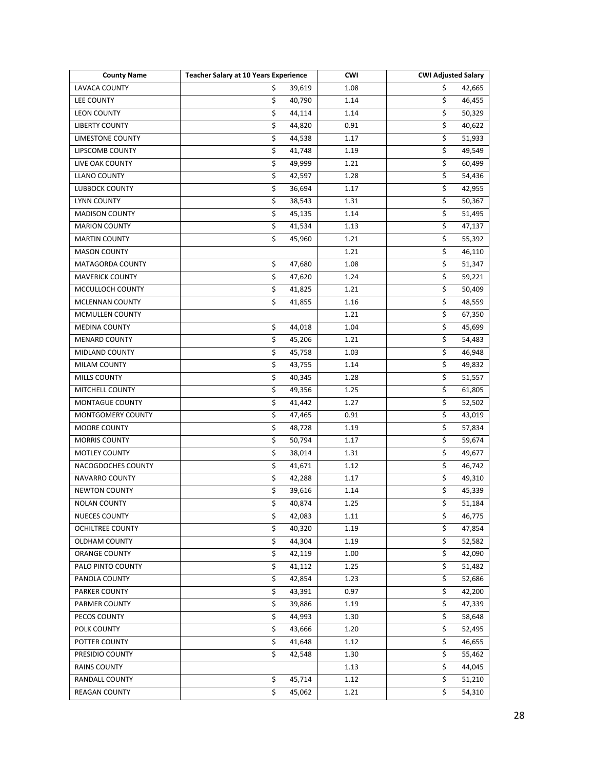| <b>County Name</b>      | <b>Teacher Salary at 10 Years Experience</b> | <b>CWI</b> | <b>CWI Adjusted Salary</b>        |
|-------------------------|----------------------------------------------|------------|-----------------------------------|
| LAVACA COUNTY           | \$<br>39,619                                 | 1.08       | \$<br>42,665                      |
| LEE COUNTY              | \$<br>40,790                                 | 1.14       | \$<br>46,455                      |
| <b>LEON COUNTY</b>      | \$<br>44,114                                 | 1.14       | \$<br>50,329                      |
| <b>LIBERTY COUNTY</b>   | \$<br>44,820                                 | 0.91       | \$<br>40,622                      |
| <b>LIMESTONE COUNTY</b> | \$<br>44,538                                 | 1.17       | \$<br>51,933                      |
| LIPSCOMB COUNTY         | \$<br>41,748                                 | 1.19       | \$<br>49,549                      |
| LIVE OAK COUNTY         | \$<br>49,999                                 | 1.21       | \$<br>60,499                      |
| <b>LLANO COUNTY</b>     | \$<br>42,597                                 | 1.28       | \$<br>54,436                      |
| <b>LUBBOCK COUNTY</b>   | \$<br>36,694                                 | 1.17       | \$<br>42,955                      |
| <b>LYNN COUNTY</b>      | \$<br>38,543                                 | 1.31       | \$<br>50,367                      |
| <b>MADISON COUNTY</b>   | \$<br>45,135                                 | 1.14       | \$<br>51,495                      |
| <b>MARION COUNTY</b>    | $\overline{\mathcal{L}}$<br>41,534           | 1.13       | \$<br>47,137                      |
| <b>MARTIN COUNTY</b>    | \$<br>45,960                                 | 1.21       | \$<br>55,392                      |
| <b>MASON COUNTY</b>     |                                              | 1.21       | \$<br>46,110                      |
| MATAGORDA COUNTY        | \$<br>47,680                                 | 1.08       | \$<br>51,347                      |
| <b>MAVERICK COUNTY</b>  | \$<br>47,620                                 | 1.24       | \$<br>59,221                      |
| MCCULLOCH COUNTY        | \$<br>41,825                                 | 1.21       | \$<br>50,409                      |
| MCLENNAN COUNTY         | \$<br>41,855                                 | 1.16       | \$<br>48,559                      |
| MCMULLEN COUNTY         |                                              | 1.21       | \$<br>67,350                      |
| <b>MEDINA COUNTY</b>    | \$<br>44,018                                 | 1.04       | $\overline{\mathsf{S}}$<br>45,699 |
| <b>MENARD COUNTY</b>    | \$<br>45,206                                 | 1.21       | \$<br>54,483                      |
| MIDLAND COUNTY          | \$<br>45,758                                 | 1.03       | \$<br>46,948                      |
| MILAM COUNTY            | \$<br>43,755                                 | 1.14       | $\overline{\mathsf{S}}$<br>49,832 |
| MILLS COUNTY            | $\overline{\mathsf{S}}$<br>40,345            | 1.28       | \$<br>51,557                      |
| MITCHELL COUNTY         | \$<br>49,356                                 | 1.25       | \$<br>61,805                      |
| MONTAGUE COUNTY         | \$<br>41,442                                 | 1.27       | \$<br>52,502                      |
| MONTGOMERY COUNTY       | \$<br>47,465                                 | 0.91       | \$<br>43,019                      |
| MOORE COUNTY            | \$<br>48,728                                 | 1.19       | \$<br>57,834                      |
| <b>MORRIS COUNTY</b>    | \$<br>50,794                                 | 1.17       | \$<br>59,674                      |
| MOTLEY COUNTY           | \$<br>38,014                                 | 1.31       | \$<br>49,677                      |
| NACOGDOCHES COUNTY      | \$<br>41,671                                 | 1.12       | \$<br>46,742                      |
| NAVARRO COUNTY          | \$<br>42,288                                 | 1.17       | \$<br>49,310                      |
| <b>NEWTON COUNTY</b>    | \$<br>39,616                                 | 1.14       | \$<br>45,339                      |
| <b>NOLAN COUNTY</b>     | \$<br>40,874                                 | 1.25       | \$<br>51,184                      |
| NUECES COUNTY           | \$<br>42,083                                 | 1.11       | \$<br>46,775                      |
| <b>OCHILTREE COUNTY</b> | \$<br>40,320                                 | 1.19       | \$<br>47,854                      |
| OLDHAM COUNTY           | \$<br>44,304                                 | 1.19       | \$<br>52,582                      |
| ORANGE COUNTY           | \$<br>42,119                                 | 1.00       | \$<br>42,090                      |
| PALO PINTO COUNTY       | \$<br>41,112                                 | 1.25       | \$<br>51,482                      |
| PANOLA COUNTY           | \$<br>42,854                                 | 1.23       | \$<br>52,686                      |
| PARKER COUNTY           | \$<br>43,391                                 | 0.97       | \$<br>42,200                      |
| PARMER COUNTY           | \$<br>39,886                                 | 1.19       | $\overline{\xi}$<br>47,339        |
| PECOS COUNTY            | \$<br>44,993                                 | 1.30       | \$<br>58,648                      |
| POLK COUNTY             | \$<br>43,666                                 | 1.20       | \$<br>52,495                      |
| POTTER COUNTY           | \$<br>41,648                                 | 1.12       | \$<br>46,655                      |
| PRESIDIO COUNTY         | \$<br>42,548                                 | 1.30       | \$<br>55,462                      |
| <b>RAINS COUNTY</b>     |                                              | 1.13       | \$<br>44,045                      |
| RANDALL COUNTY          | \$<br>45,714                                 | 1.12       | \$<br>51,210                      |
| <b>REAGAN COUNTY</b>    | \$<br>45,062                                 | 1.21       | \$<br>54,310                      |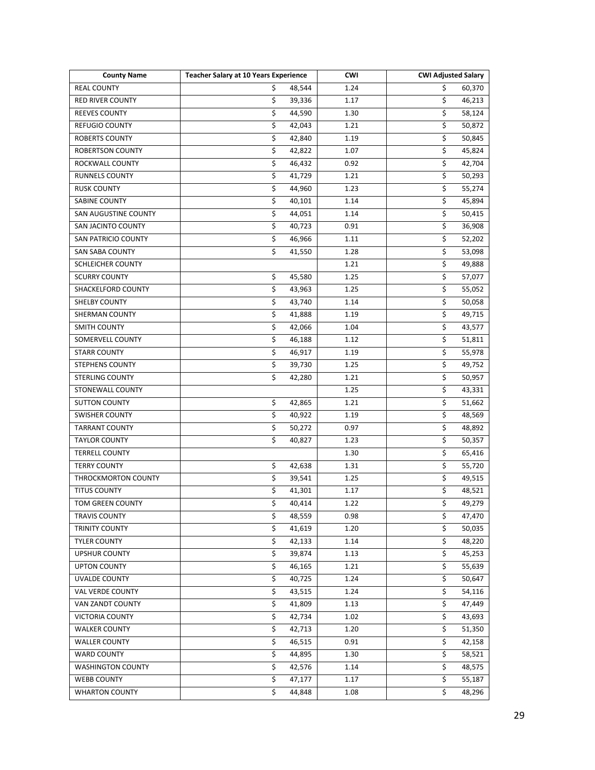| <b>County Name</b>         | <b>Teacher Salary at 10 Years Experience</b> | <b>CWI</b> | <b>CWI Adjusted Salary</b>        |
|----------------------------|----------------------------------------------|------------|-----------------------------------|
| <b>REAL COUNTY</b>         | \$<br>48,544                                 | 1.24       | \$<br>60,370                      |
| RED RIVER COUNTY           | \$<br>39,336                                 | 1.17       | $\overline{\mathsf{S}}$<br>46,213 |
| <b>REEVES COUNTY</b>       | \$<br>44,590                                 | 1.30       | \$<br>58,124                      |
| <b>REFUGIO COUNTY</b>      | \$<br>42,043                                 | 1.21       | \$<br>50,872                      |
| <b>ROBERTS COUNTY</b>      | \$<br>42,840                                 | 1.19       | \$<br>50,845                      |
| <b>ROBERTSON COUNTY</b>    | \$<br>42,822                                 | 1.07       | \$<br>45,824                      |
| ROCKWALL COUNTY            | \$<br>46,432                                 | 0.92       | $\overline{\mathsf{S}}$<br>42,704 |
| RUNNELS COUNTY             | \$<br>41,729                                 | 1.21       | \$<br>50,293                      |
| <b>RUSK COUNTY</b>         | \$<br>44,960                                 | 1.23       | \$<br>55,274                      |
| <b>SABINE COUNTY</b>       | \$<br>40,101                                 | 1.14       | \$<br>45,894                      |
| SAN AUGUSTINE COUNTY       | $\overline{\mathsf{S}}$<br>44,051            | 1.14       | \$<br>50,415                      |
| SAN JACINTO COUNTY         | \$<br>40,723                                 | 0.91       | \$<br>36,908                      |
| <b>SAN PATRICIO COUNTY</b> | $\overline{\xi}$<br>46,966                   | 1.11       | \$<br>52,202                      |
| <b>SAN SABA COUNTY</b>     | \$<br>41,550                                 | 1.28       | $\overline{\mathsf{S}}$<br>53,098 |
| <b>SCHLEICHER COUNTY</b>   |                                              | 1.21       | \$<br>49,888                      |
| <b>SCURRY COUNTY</b>       | \$<br>45,580                                 | 1.25       | \$<br>57,077                      |
| SHACKELFORD COUNTY         | \$<br>43,963                                 | 1.25       | $\overline{\mathsf{S}}$<br>55,052 |
| SHELBY COUNTY              | \$<br>43,740                                 | 1.14       | \$<br>50,058                      |
| <b>SHERMAN COUNTY</b>      | \$<br>41,888                                 | 1.19       | \$<br>49,715                      |
| <b>SMITH COUNTY</b>        | \$<br>42,066                                 | 1.04       | \$<br>43,577                      |
| <b>SOMERVELL COUNTY</b>    | \$<br>46,188                                 | 1.12       | \$<br>51,811                      |
| <b>STARR COUNTY</b>        | \$<br>46,917                                 | 1.19       | \$<br>55,978                      |
| STEPHENS COUNTY            | \$<br>39,730                                 | 1.25       | \$<br>49,752                      |
| <b>STERLING COUNTY</b>     | \$<br>42,280                                 | 1.21       | \$<br>50,957                      |
| STONEWALL COUNTY           |                                              | 1.25       | \$<br>43,331                      |
| <b>SUTTON COUNTY</b>       | \$<br>42,865                                 | 1.21       | \$<br>51,662                      |
| <b>SWISHER COUNTY</b>      | \$<br>40,922                                 | 1.19       | \$<br>48,569                      |
| <b>TARRANT COUNTY</b>      | \$<br>50,272                                 | 0.97       | \$<br>48,892                      |
| <b>TAYLOR COUNTY</b>       | \$<br>40,827                                 | 1.23       | \$<br>50,357                      |
| <b>TERRELL COUNTY</b>      |                                              | 1.30       | \$<br>65,416                      |
| <b>TERRY COUNTY</b>        | \$<br>42,638                                 | 1.31       | \$<br>55,720                      |
| THROCKMORTON COUNTY        | \$<br>39,541                                 | 1.25       | \$<br>49,515                      |
| <b>TITUS COUNTY</b>        | \$<br>41,301                                 | 1.17       | $\overline{\mathsf{S}}$<br>48,521 |
| TOM GREEN COUNTY           | \$<br>40,414                                 | 1.22       | \$<br>49,279                      |
| <b>TRAVIS COUNTY</b>       | \$<br>48,559                                 | 0.98       | \$<br>47,470                      |
| TRINITY COUNTY             | \$<br>41,619                                 | 1.20       | \$<br>50,035                      |
| <b>TYLER COUNTY</b>        | \$<br>42,133                                 | 1.14       | \$<br>48,220                      |
| <b>UPSHUR COUNTY</b>       | \$<br>39,874                                 | 1.13       | \$<br>45,253                      |
| <b>UPTON COUNTY</b>        | \$<br>46,165                                 | 1.21       | \$<br>55,639                      |
| UVALDE COUNTY              | \$<br>40,725                                 | 1.24       | \$<br>50,647                      |
| VAL VERDE COUNTY           | \$<br>43,515                                 | 1.24       | \$<br>54,116                      |
| VAN ZANDT COUNTY           | \$<br>41,809                                 | 1.13       | \$<br>47,449                      |
| <b>VICTORIA COUNTY</b>     | \$<br>42,734                                 | 1.02       | \$<br>43,693                      |
| <b>WALKER COUNTY</b>       | \$<br>42,713                                 | 1.20       | \$<br>51,350                      |
| <b>WALLER COUNTY</b>       | \$<br>46,515                                 | 0.91       | \$<br>42,158                      |
| <b>WARD COUNTY</b>         | \$<br>44,895                                 | 1.30       | \$<br>58,521                      |
| <b>WASHINGTON COUNTY</b>   | \$<br>42,576                                 | 1.14       | \$<br>48,575                      |
| <b>WEBB COUNTY</b>         | \$<br>47,177                                 | 1.17       | \$<br>55,187                      |
| <b>WHARTON COUNTY</b>      | \$<br>44,848                                 | 1.08       | \$<br>48,296                      |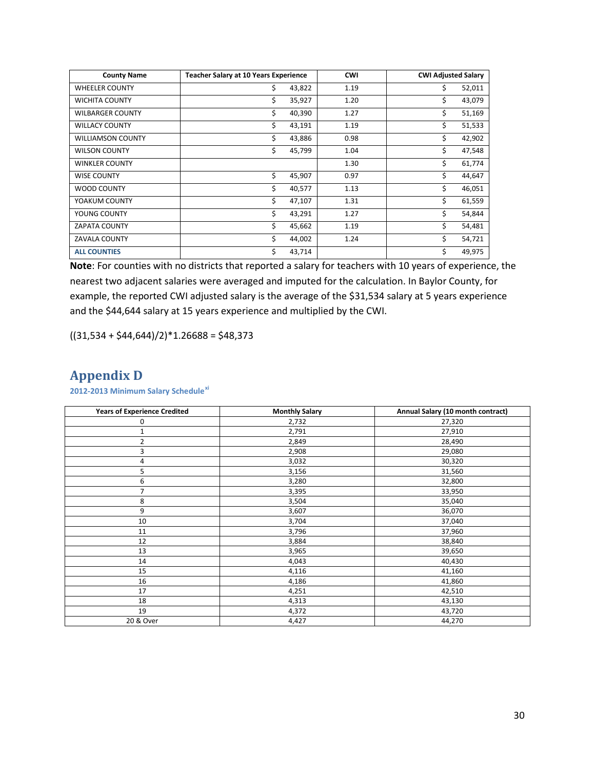| <b>County Name</b>       | <b>Teacher Salary at 10 Years Experience</b> | <b>CWI</b> | <b>CWI Adjusted Salary</b> |
|--------------------------|----------------------------------------------|------------|----------------------------|
| <b>WHEELER COUNTY</b>    | \$<br>43,822                                 | 1.19       | \$<br>52,011               |
| <b>WICHITA COUNTY</b>    | \$<br>35,927                                 | 1.20       | \$<br>43,079               |
| <b>WILBARGER COUNTY</b>  | \$<br>40,390                                 | 1.27       | \$<br>51,169               |
| <b>WILLACY COUNTY</b>    | \$<br>43,191                                 | 1.19       | \$<br>51,533               |
| <b>WILLIAMSON COUNTY</b> | \$<br>43,886                                 | 0.98       | Ś<br>42,902                |
| <b>WILSON COUNTY</b>     | \$<br>45,799                                 | 1.04       | \$<br>47,548               |
| <b>WINKLER COUNTY</b>    |                                              | 1.30       | \$<br>61,774               |
| <b>WISE COUNTY</b>       | \$<br>45,907                                 | 0.97       | \$<br>44,647               |
| WOOD COUNTY              | \$<br>40,577                                 | 1.13       | \$<br>46,051               |
| YOAKUM COUNTY            | \$<br>47,107                                 | 1.31       | \$<br>61,559               |
| YOUNG COUNTY             | \$<br>43,291                                 | 1.27       | \$<br>54,844               |
| <b>ZAPATA COUNTY</b>     | \$<br>45,662                                 | 1.19       | \$<br>54,481               |
| <b>ZAVALA COUNTY</b>     | \$<br>44,002                                 | 1.24       | \$<br>54,721               |
| <b>ALL COUNTIES</b>      | \$<br>43,714                                 |            | \$<br>49,975               |

**Note**: For counties with no districts that reported a salary for teachers with 10 years of experience, the nearest two adjacent salaries were averaged and imputed for the calculation. In Baylor County, for example, the reported CWI adjusted salary is the average of the \$31,534 salary at 5 years experience and the \$44,644 salary at 15 years experience and multiplied by the CWI.

 $((31,534 + $44,644)/2)*1.26688 = $48,373$ 

# **Appendix D**

**2012-2013 Minimum Salary Schedule[xi](#page-30-10)**

| <b>Years of Experience Credited</b> | <b>Monthly Salary</b> | Annual Salary (10 month contract) |
|-------------------------------------|-----------------------|-----------------------------------|
| 0                                   | 2,732                 | 27,320                            |
| $1\,$                               | 2,791                 | 27,910                            |
| $\overline{2}$                      | 2,849                 | 28,490                            |
| 3                                   | 2,908                 | 29,080                            |
| 4                                   | 3,032                 | 30,320                            |
| 5                                   | 3,156                 | 31,560                            |
| 6                                   | 3,280                 | 32,800                            |
| $\overline{7}$                      | 3,395                 | 33,950                            |
| 8                                   | 3,504                 | 35,040                            |
| 9                                   | 3,607                 | 36,070                            |
| 10                                  | 3,704                 | 37,040                            |
| 11                                  | 3,796                 | 37,960                            |
| 12                                  | 3,884                 | 38,840                            |
| 13                                  | 3,965                 | 39,650                            |
| 14                                  | 4,043                 | 40,430                            |
| 15                                  | 4,116                 | 41,160                            |
| 16                                  | 4,186                 | 41,860                            |
| 17                                  | 4,251                 | 42,510                            |
| 18                                  | 4,313                 | 43,130                            |
| 19                                  | 4,372                 | 43,720                            |
| 20 & Over                           | 4,427                 | 44,270                            |